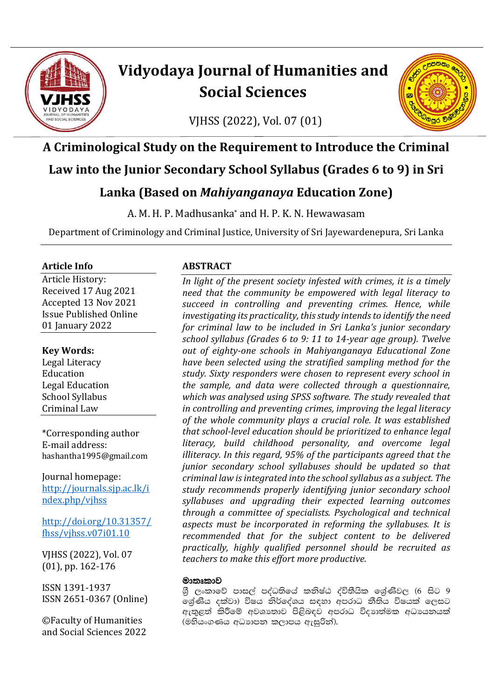

# **Vidyodaya Journal of Humanities and Social Sciences**

VJHSS (2022), Vol. 07 (01)



## **A Criminological Study on the Requirement to Introduce the Criminal Law into the Junior Secondary School Syllabus (Grades 6 to 9) in Sri Lanka (Based on** *Mahiyanganaya* **Education Zone)**

A. M. H. P. Madhusanka\* and H. P. K. N. Hewawasam

Department of Criminology and Criminal Justice, University of Sri Jayewardenepura, Sri Lanka

#### **Article Info**

Article History: Received 17 Aug 2021 Accepted 13 Nov 2021 Issue Published Online 01 January 2022

#### **Key Words:**

Legal Literacy Education Legal Education School Syllabus Criminal Law

\*Corresponding author E-mail address: hashantha1995@gmail.com

Journal homepage: [http://journals.sjp.ac.lk/i](http://journals.sjp.ac.lk/index.php/vjhss) [ndex.php/vjhss](http://journals.sjp.ac.lk/index.php/vjhss)

[http://doi.org/10.31357/](http://doi.org/10.31357/fhss/vjhss.v07i01.10) [fhss/vjhss.v07i01.10](http://doi.org/10.31357/fhss/vjhss.v07i01.10)

VJHSS (2022), Vol. 07 (01), pp. 162-176

ISSN 1391-1937 ISSN 2651-0367 (Online)

©Faculty of Humanities and Social Sciences 2022

#### **ABSTRACT**

*In light of the present society infested with crimes, it is a timely need that the community be empowered with legal literacy to succeed in controlling and preventing crimes. Hence, while investigating its practicality, this study intends to identify the need for criminal law to be included in Sri Lanka's junior secondary school syllabus (Grades 6 to 9: 11 to 14-year age group). Twelve out of eighty-one schools in Mahiyanganaya Educational Zone have been selected using the stratified sampling method for the study. Sixty responders were chosen to represent every school in the sample, and data were collected through a questionnaire, which was analysed using SPSS software. The study revealed that in controlling and preventing crimes, improving the legal literacy of the whole community plays a crucial role. It was established that school-level education should be prioritized to enhance legal literacy, build childhood personality, and overcome legal illiteracy. In this regard, 95% of the participants agreed that the junior secondary school syllabuses should be updated so that criminal law is integrated into the school syllabus as a subject. The study recommends properly identifying junior secondary school syllabuses and upgrading their expected learning outcomes through a committee of specialists. Psychological and technical aspects must be incorporated in reforming the syllabuses. It is recommended that for the subject content to be delivered practically, highly qualified personnel should be recruited as teachers to make this effort more productive.*

#### මාතෘකාව

ශී ලංකාවේ පාසල් පද්ධතියේ කනිෂ්ඨ ද්විතීයික ශේුණිවල (6 සිට 9 ලශ්ණිය දක්වා) විෂය නිර්දේශය සඳහා අපරාධ නීතිය විෂයක් ලෙසට  $\alpha$ ුතුළත් කිරීමේ අවශාතාව පිළිබඳව අපරාධ විදාහත්මක අධායනයක්  $($ මහියංගණය අධාහපන කලාපය ඇසුරින්).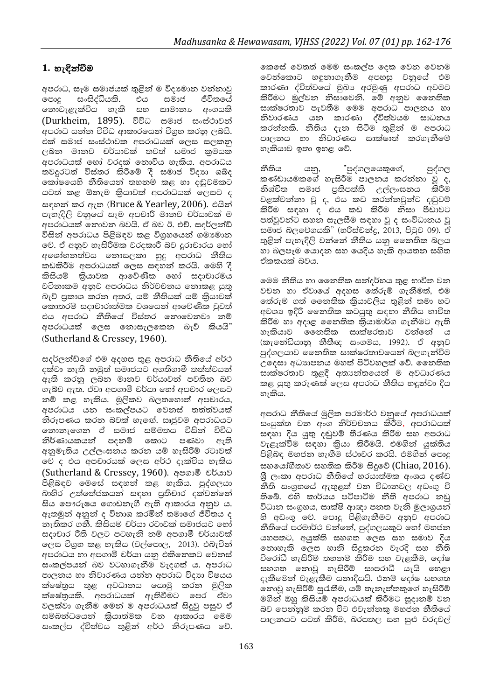### 1. හැඳින්වීම

අපරාධ, සෑම සමාජයක් තුළින් ම විදාවොන වන්නාවු ඐ෬ සංසිද්ධියකි. එය සමාජ ජීවිතයේ නොවැළැක්විය හැකි සහ සාමානා අංගයකි (Durkheim, 1895). විවිධ සමාජ සංස්ථාවන් අපරාධ යන්න විවිධ ආකාරයෙන් විශුහ කරනු ලබයි. එක් සමාජ සංස්ථාවක අපරාධයක් ලෙස සලකනු ලබන මානව චර්යාවක් තවත් සමාජ කුමයක අපරාධයක් හෝ වරදක් නොවිය හැකිය. අපරාධය තවදුරටත් විස්තර කිරීමේ දී සමාජ විදාහ ශබ්ද කෝෂයෙහි නීතියෙන් තහනම් කළ හා දඬුවමකට යටත් කළ ඕනැම කිුයාවක් අපරාධයක් ලෙසට ද සඳහන් කර ඇත (Bruce & Yearley, 2006). එයින් පැහැදිලි වනුයේ සෑම අපචාරී මානව චර්යාවක් ම අපරාධයක් නොවන බවයි. ඒ බව ඊ. එච්. සදර්ලන්ඩ් විසින් අපරාධය පිළිබඳව කළ විගුහයෙන් ගමාමාන වේ. ඒ අනුව හැසිරීමක වරදකාරී බව දුරාචාරය හෝ අශෝභනත්වය නොසලකා හුදු අපරාධ නීතිය කඩකිරීම අපරාධයක් ලෙස සඳහන් කරයි. මෙහි දී කිසියම් කියාවක ආවේණික හෝ සදාචාරමය වටිනාකම අනුව අපරාධය නිර්වචනය නොකළ යුතු බැව් පුකාශ කරන අතර, යම් නීතියක් යම් කියාවක් කොතරම් සදාචාරාත්මක වශයෙන් ආවේණික වුවත් එය අපරාධ නීතියේ විස්තර නොවෙනවා නම් අපරාධයක් ලෙස නොසැලකෙන බැව් කියයි" (Sutherland & Cressey, 1960).

සදර්ලන්ඩ්ගේ එම අදහස තුළ අපරාධ නීතියේ අර්ථ දක්වා නැති නමුත් සමාජයට අගතිගාමී තත්ත්වයන් ඇති කරනු ලබන මානව චර්යාවන් පවතින බව ගැබ්ව ඇත. ඒවා අපගාමී චර්යා හෝ අපචාර ලෙසට නම් කළ හැකිය. මූලිකව බලතහොත් අපචාරය, අපරාධය යන සංකල්පයට වෙනස් තත්ත්වයක් තිරූපණය කරත බවක් හැඟේ. ඍජුවම අපරාධයට නොනැගෙන ඒ සමාජ සම්මතය විසින් විවිධ නිර්ණායකයන් පදනම් කොට පණවා ඇති අනුමැතිය උල්ලංඝනය කරන යම් හැසිරීම් රටාවක් වේ ද එය අපචාරයක් ලෙස අර්ථ දැක්විය හැකිය (Sutherland & Cressey, 1960). අපගාමී චර්යාව පිළිබඳව මෙසේ සඳහන් කළ හැකිය. පුද්ගලයා බාහිර උත්තේජකයන් සඳහා පුතිචාර දක්වන්නේ සිය පෞරුෂය ගොඩනැගී ඇති ආකාරය අනුව ය. ඇතමුන් අනුන් ද විනාශ කරමින් තමාගේ ජීවිතය ද නැතිකර ගනී. කිසියම් චර්යා රටාවක් සමාජයට හෝ සදාචාර රීති වලට පටහැනි නම් අපගාමී චර්යාවක් ලෙස විගුහ කළ හැකිය (වල්පොල, 2013). එබැවින් අපරාධය හා අපගාමී චර්යා යනු එකිනෙකට වෙනස් සංකල්පයන් බව වටහාගැනීම වැදගත් ය. අපරාධ පාලනය හා නිවාරණය යන්න අපරාධ විදාහ විෂයය ක්ෂේතුය තුළ අවධානය යොමු කරන මූලික ක්ෂේතුයකි. අපරාධයක් ඇතිවීමට පෙර ඒවා වලක්වා ගැනීම මෙන් ම අපරාධයක් සිදුවු පසුව ඒ සම්බන්ධයෙන් කිුියාත්මක වන ආකාරය මෙම සංකල්ප ද්විත්වය තුළින් අර්ථ නිරූපණය වේ. ඉකසේ වෙතත් මෙම සංකල්ප දෙක වෙන වෙනම වෙන්කොට හඳුනාගැනීම අපහසු වනුයේ එම කාරණා ද්විත්වයේ මුඛා අරමුණු අපරාධ අවමට කිරීමට මුල්වන නිසාවෙනි. මේ අනුව නෛතික සාක්ෂරතාව පැවතීම මෙම අපරාධ පාලනය හා නිවාරණය යන කාරණා ද්විත්වයම සාධනය කරන්නකි. නීතිය දැන සිටීම තුළින් ම අපරාධ පාලනය හා නිවාරණය සාක්ෂාත් කරගැනීමේ හැකියාව ඉතා ඉහළ වේ.

"පුද්ගලයෙකුගේ, නීතිය යනු, පුද්ගල කණ්ඩායමකගේ හැසිරීම පාලනය කරන්නා වූ ද, නිශ්චිත සමාජ පුතිපත්ති උල්ලංඝනය කිරීම වළක්වන්නා වූ ද, එය කඩ කරන්නවුන්ට දඬුවම් කිරීම සඳහා ද එය කඩ කිරීම නිසා පීඩාවට පත්වූවන්ට සහන සැලසීම සඳහා වූ ද සංවිධානය වූ සමාජ බලවේගයකි" (හරිස්චන්දු, 2013, පිටුව 09). ඒ තුළින් පැහැදිලි වන්නේ නීතිය යනු නෛතික බලය හා බලපෑම යොදන සහ යෙදිය හැකි ආයතන සහිත ඒකකයක් බවය.

මෙම නීතිය හා නෛතික සන්දර්භය තුළ භාවිත වන වචන හා ඒවායේ අදහස තේරුම් ගැනීමත්, එම තේරුම් ගත් නෛතික කියාවලිය තුළින් තමා හට අවශා ඉදිරි නෛතික කටයුතු සඳහා නීතිය භාවිත කිරීම හා අදාළ නෛතික කියාමාර්ග ගැනීමට ඇති හැකියාව මෛත්ක සාක්ෂරතාව වන්නේ ය (කැනේඩියානු නීතීඥ සංගමය, 1992). ඒ අනුව පුද්ගලයාව නෛතික සාක්ෂරතාවයෙන් බලගැන්වීම උදෙසා අධාහපනය මහත් පිටිවහලක් වේ. නෛතික සාක්ෂරතාව තුළදී අතාහේතයෙන් ම අවධාරණය කළ යුතු කරුණක් ලෙස අපරාධ නීතිය හඳුන්වා දිය හැකිය.

අපරාධ නීතියේ මුලික පරමාර්ථ වනුයේ අපරාධයක් සංයුක්ත වන අංග නිර්වචනය කිරීම, අපරාධයක් සඳහා දිය යුතු දඬුවම් තීරණය කිරීම සහ අපරාධ වැළැක්වීම සඳහා කිුයා කිරීමයි. එමගින් යුක්තිය පිළිබඳ මහජන හැඟීම ස්ථාවර කරයි. එමගින් පොදු සහයෝගීතාව සහතික කිරීම සිදුවේ (Chiao, 2016). ශී ලංකා අපරාධ නීතියේ හරයාත්මක අංශය දණ්ඩ නීති සංගුහයේ ඇතුළත් වන විධානවල අඩංගු වී තිබේ. එහි කාර්යය පටිපාටිම නීති අපරාධ නඩු විධාන සංගුහය, සාක්ෂි ආඥා පනත වැනි මූලාශුයන් හි අඩංගු වේ. පොදු පිළිගැනීමට අනුව අපරාධ නීතියේ පරමාර්ථ වන්නේ, පුද්ගලයකුට හෝ මහජන යහපතට, අයුක්ති සහගත ලෙස සහ සමාව දිය නොහැකි ලෙස හානි සිදුකරන වැරදි සහ නීති විරෝධී හැසිරීම් තහනම් කිරීම සහ වැළකීම, දෝෂ සහගත තොවූ හැසිරීම් සාපරාධී යැයි හෙළා දැකීමෙන් වැළැකීම යනාදියයි. එනම් දෝෂ සහගත නොවු හැසිරීම් සුරැකීම, යම් තැනැත්තකුගේ හැසිරීම් මගින් ඔහු කිසියම් අපරාධයක් කිරීමට සුදානම් වන බව පෙන්නුම් කරන විට එවැන්නක මහජන නීතියේ පාලනයට යටත් කිරීම, බරපතල සහ සුළු වරදවල්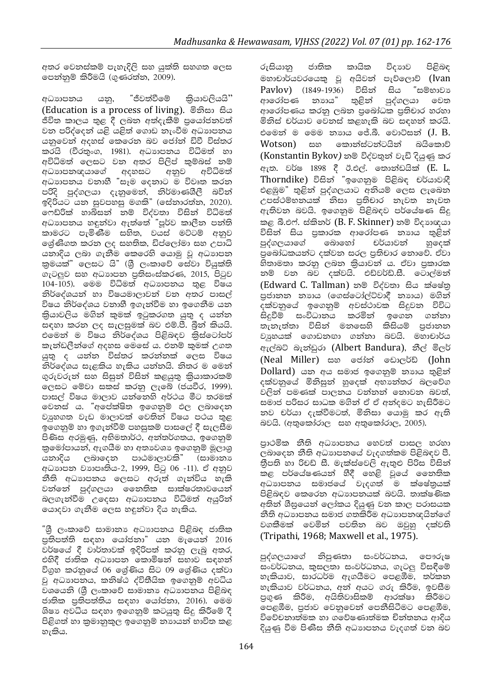අතර වෙනස්කම් පැහැදිලි සහ යුක්ති සහගත ලෙස පෙන්නුම් කිරීමයි (ගුණරත්න, 2009).

අධාහපනය යනු, "ජීවත්වීමේ කියාවලියයි'' (Education is a process of living). මිනිසා සිය ජීවිත කාලය තුළ දී ලබන අත්දැකීම් පුයෝජනවත් වන පරිද්දෙන් යළි යළිත් ගොඩ නැංවීම අධාහපනය යනුවෙන් අදහස් කෙරෙන බව ජෝන් ඩිවී විස්තර කරයි (වීරතුංග, 1981). අධාහපනය විධිමත් හා අවිධිමත් ලෙසට වන අතර පිලිප් කුම්බස් නම් අධාහපනඥයාගේ අදහසට අනුව අවිධිමත් .<br>අධාහපනය වනාහී "සෑම දෙනාට ම විවෘත කරන පරිදි පුද්ගලයා දැනුමෙන්, නිර්මාණශීලී බවින් ඉදිරියට යන සුවපහසු මගකි" (සේනාරත්න, 2020). ගෙඩ්රික් හාබිසන් නම් විද්වතා විසින් විධිමත් අධාහපනය හඳුන්වා ඇත්තේ "පූර්ව කාලීන පන්ති කාමරට පැමිණීම සහිත, වයස් මට්ටම් අනුව ලේණිගත කරන ලද සහතික, ඩිප්ලෝමා සහ උපාධි යනාදිය ලබා ගැනීම කෙරෙහි යොමු වූ අධාහපන කුමයක්" ලෙසට යි" (ශී ලංකාවේ සේවා වියුක්ති ගැටලුව සහ අධාහපන පුතිසංස්කරණ, 2015, පිටුව 104-105). මෙම විධිමත් අධාහපනය තුළ විෂය නිර්දේශයන් හා විෂයමාලාවන් වන අතර පාසල් විෂය නිර්දේශය වනාහී ඉගැන්වීම හා ඉගෙනීම යන කියාවලිය මගින් කුමක් ඉටුකරගත යුතු ද යන්න සඳහා කරන ලද සැලසුමක් බව එම්.පී. බීන් කියයි. එමෙන් ම විෂය නිර්දේශය පිළිබඳව කිස්ටෝපර් කැන්ඩලීන්ගේ අදහස මෙසේ ය. එනම් කුමක් උගත යුතු ද යන්න විස්තර කරන්නක් ලෙස විෂය නිර්දේශය සැළකිය හැකිය යන්නයි. නිතර ම මෙන් ගුරුවරුන් සහ සිසුන් විසින් කළයුතු කියාකාරකම් ලෙසට මේවා සකස් කරනු ලැබේ (ජයවීර, 1999). පාසල් විෂය මාලාව යන්නෙහි අර්ථය මීට තරමක් වෙනස් ය. "අපේක්ෂිත ඉගෙනුම් ඵල ලබාදෙන වයුහගත වැඩ මාලාවක් වෙතින් විෂය පථය තුළ ඉගෙනුම් හා ඉගැන්වීම් පහසුකම් පාසලේ දී සැලසීම පිණිස අරමුණු, අභිමතාර්ථ, අන්තර්ගතය, ඉගෙනුම් කුමෝපායන්, ඇගයීම හා අතාවශා ඉගෙනුම් මූලාශු යනාදිය ලබාදෙන පාඨමාලාවකි" (සාමානා අධාහපන වාහපෘතිය-2, 1999, පිටු 06 -11). ඒ අනුව නීති අධාහපනය ලෙසට අරුත් ගැන්විය හැකි වන්නේ පුද්ගලයා නෛතික සාක්ෂරතාවයෙන් බලගැන්වීම උදෙසා අධාහපනය විධිමත් අයුරින් ගොදවා ගැනීම ලෙස හඳුන්වා දිය හැකිය.

ීශී ලංකාවේ සාමානා අධාාපනය පිළිබඳ ජාතික පුතිපත්ති සඳහා යෝජනා" යන මැයෙන් 2016 වර්ෂයේ දී වාර්තාවක් ඉදිරිපත් කරනු ලැබු අතර, එහිදී ජාතික අධාහපන කොමිෂන් සභාව සඳහන් විගුහ කරනුයේ 06 ලශ්ණිය සිට 09 ලශ්ණිය දක්වා වූ අධාහපනය, කනිෂ්ඨ ද්විතීයික ඉගෙනුම් අවධිය වශයෙනි (ශී ලංකාවේ සාමානා අධාහපනය පිළිබඳ ජාතික පුතිපත්තිය සඳහා යෝජනා, 2016). මෙම ශිෂා අවධිය සඳහා ඉගෙනුම් කටයුතු සිදු කිරීමේ දී පිළිගත් හා කුමානුකූල ඉගෙනුම් නාගයන් භාවිත කළ හැකිය.

රුසියානු ජාතික කායික විදාහව පිළිබඳ මහාචාර්යවරයෙකු වු අයිවන් පැව්ලොව් (Ivan Payloy) (1849-1936) විසින් සිය "සම්භාවා ආරෝපණ නාහය" තුළින් පුද්ගලයා වෙත ආරෝපණය කරනු ලබන පුබෝධක පුතිචාර හරහා මිනිස් චර්යාව වෙනස් කළහැකි බව සඳහන් කරයි. එමෙන් ම මෙම නාහය ජේ.බී. වොට්සන් (J. B. Wotson) සහ කොන්ස්ටන්ටයින් බයිකොව් (Konstantin Bykov) නම් විද්වතුන් වැඩි දියුණු කර ඇත. වර්ෂ 1898 දී ඊ.එල්. තොන්ඩයික් (E. L. Thorndike) විසින් "ඉගෙනුම පිළිබඳ චර්යාවාදී එළඹුම" තුළින් පුද්ගලයාට අනියම් ලෙස ලැබෙන උපස්ථම්භනයක් නිසා පුතිචාර නැවත නැවත ඇතිවන බවයි. ඉගෙනුම පිළිබඳව පර්යේෂණ සිදු කළ බී.එෆ්. ස්කිනර් (B. F. Skinner) නම් විදාහඥයා විසින් සිය පුකාරක ආරෝපණ නාහය තුළින්<br>පුද්ගලයාගේ බොහෝ චර්යාවන් හුදෙක් පුබෝධකයන්ට දක්වන සරල පුතිචාර නොවේ. ඒවා හිතාමතා කරනු ලබන කියාවන් ය. ඒවා පුකාරක නම් වන බව දක්වයි. එඩ්වර්ඩ්.සී. ටොල්මන් (Edward C. Tallman) නම් විද්වතා සිය ක්ෂේතු පුජානන නාහය (ගෙස්ටෝල්ට්වාදී නාහය) මගින් දක්වනුයේ ඉගෙනුම් අවස්ථාවක සිදුවන විවිධ සිදුවීම් සංවිධානය කරමින් ඉගෙන ගන්නා තැනැත්තා විසින් මනසෙහි කිසියම් පජානන වයුහයක් ගොඩනඟා ගන්නා බවයි. මහාචාර්ය ඇල්බට් බැන්ඩුරා (Albert Bandura), නීල් මිලර් (Neal Miller) සහ ජෝන් ඩොලර්ඩ් (John Dollard) යන අය සමාජ ඉගෙනුම් නාගය තුළින් දක්වනුයේ මිනිසුන් හුදෙක් අභාන්තර බලවේග වලින් පමණක් පාලනය වන්නන් නොවන බවත්, සමාජ පරිසර සාධක මගින් ඒ ඒ අන්දමට හැසිරීමට නව චර්යා දැක්වීමටත්, මිනිසා යොමු කර ඇති බවයි. (අතුකෝරාල සහ අතුකෝරාල, 2005).

පාථමික නීති අධාහපනය හෙවත් පාසල හරහා ලබාදෙන නීති අධාහපනයේ වැදගත්කම පිළිබඳව පී. තීපති හා රිචඩ් සී. මැක්ස්වෙලි ඇතුළු පිරිස විසින් කළ පර්යේෂණයන් හීදී හෙළි වූයේ නෛතික අධාහපනය සමාජයේ වැදගත් ම ක්ෂේතුයක් පිළිබඳව කෙරෙන අධාාපනයක් බවයි. තාක්ෂණික අතින් ශීඝුයෙන් ලෝකය දියුණු වන කාල පරාසයක නීති අධාාපනය සමාජ ගතකිරීම අධාාපනඥයින්ගේ වගකීමක් වෙමින් පවතින බව ඔවුහු දක්වති (Tripathi, 1968; Maxwell et al., 1975).

පුද්ගලයාගේ නිපුණතා සංවර්ධනය, පෞරුෂ සංවර්ධනය, කුසලතා සංවර්ධනය, ගැටලු විසඳීමේ හැකියාව, සාරධර්ම ඇගයීමට පෙළඹීම, තර්කන හැකියාව වර්ධනය, අන් අයට ගරු කිරීම, ඉවසීම පුගුණ කිරීම, අයිතිවාසිකම් ආරක්ෂා කිරීමට පෙළඹීම, පුජාව වෙනුවෙන් පෙනීසිටීමට පෙළඹීම, විවේචනාත්මක හා ගවේෂණාත්මක චින්තනය ආදිය දියුණු වීම පිණිස නීති අධාාපනය වැදගත් වන බව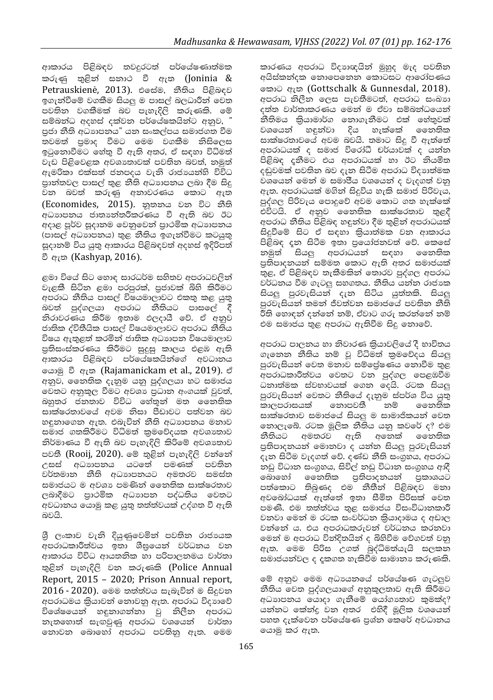ආකාරය පිළිබඳව තවදුරටත් පර්යේෂණාත්මක කරුණු තුළින් සනාථ වී ඇත (Joninia & Petrauskienė, 2013). එසේම, නීතිය පිළිබඳව ඉගැන්වීමේ වගකීම සියලු ම පාසල් බලධාරීන් වෙත පවතින වගකීමක් බව පැහැදිලි කරුණකි. මේ සම්බන්ධ අදහස් දක්වන පර්යේෂකයින්ට අනුව, " පුජා නීති අධාහපනය" යන සංකල්පය සමාජගත වීම තවමත් පුමාද වීමට මෙම වගකීම නිසිලෙස ඉටුනොවීමට හේතු වී ඇති අතර, ඒ සඳහා විධිමත් වැඩ පිළිවෙළක අවශාතාවක් පවතින බවත්, නමුත් ඇමරිකා එක්සත් ජනපදය වැනි රාජායන්හි විවිධ පාන්තවල පාසල් තුළ නීති අධාාපනය ලබා දීම සිදු වන බවත් කරුණු අනාවරණය කොට ඇත (Economides, 2015). නුතනය වන විට නීති අධාහපනය ජාතාන්තරීකරණය වී ඇති බව ඊට අදාළ පූර්ව සුදානම වෙනුවෙන් පාථමික අධාහපනය (පාසල් අධාහපනය) තුළ නීතිය ඉගැන්වීමට කටයුතු සුදානම් විය යුතු ආකාරය පිළිබඳවත් අදහස් ඉදිරිපත් වී ඇත (Kashyap, 2016).

ළමා වියේ සිට හොඳ සාරධර්ම සහිතව අපරාධවලින් වැළකී සිටින ළමා පරපුරක්, පුජාවක් බිහි කිරීමට අපරාධ නීතිය පාසල් විෂයමාලාවට එකතු කළ යුතු බවත් පුද්ගලයා අපරාධ නීතියට පාසලේ දී නිරාවරණය කිරීම ඉතාම ඵලදායී වේ. ඒ අනුව ජාතික ද්විතීයික පාසල් විෂයමාලාවට අපරාධ නීතිය විෂය ඇතුළත් කරමින් ජාතික අධාහපන විෂයමාලාව පුතිසංස්කරණය කිරීමට සුදුසු කාලය එළඹ ඇති ආකාරය පිළිබඳව පර්යේෂකයින්ගේ අවධානය යොමු වී ඇතු (Rajamanickam et al., 2019). ඒ අනුව, නෛතික දැනුම යනු පුද්ගලයා හට සමාජය වෙතට අනුකූල වීමට අවශා පුධාන අංගයක් වුවත්, බහුතර ජනතාව විවිධ හේතුන් මත නෛතික සාක්ෂරතාවයේ අවම නිසා පීඩාවට පත්වන බව හඳුනාගෙන ඇත. එබැවින් නීති අධාහපනය මනාව සමාජ ගතකිරීමට විධිමත් කුමවේදයක අවශාතාව නිර්මාණය වී ඇති බව පැහැදිලි කිරිමේ අවශාතාව පවතී (Rooij, 2020). මේ තුළින් පැහැදිලි වන්නේ උසස් අධාහපනය යටතේ පමණක් පවතින වර්තමාන නීති අධාහපනයට අමතරව සමස්ත සමාජයට ම අවශා පමණින් නෛතික සාක්ෂරතාව ලබාදීමට පුාථමික අධාහපන පද්ධතිය වෙතට අවධානය යොමු කළ යුතු තත්ත්වයක් උද්ගත වී ඇති බවයි.

ශී ලංකාව වැනි දියුණුවෙමින් පවතින රාජායක අපරාධකාරීත්වය ඉතා ශීඝුයෙන් වර්ධනය වන ආකාරය විවිධ ආයතනික හා පරිපාලනමය වාර්තා තුළින් පැහැදිලි වන කරුණකි (Police Annual Report, 2015 - 2020; Prison Annual report,  $2016$  -  $2020$ ). මෙම තත්ත්වය සැබැවින් ම සිදුවන අපරාධමය කියාවන් නොවනු ඇත. අපරාධ විදාහවේ විශේෂයෙන් හඳුනාගන්නා වු නිලීන අපරාධ නැතහොත් සැඟවුණු අපරාධ $\overline{\phantom{x}}$ වශයෙන් වාර්තා නොවන බොහෝ අපරාධ පවතිනු ඇත. මෙම කාරණය අපරාධ විදාහඥයින් මුහුද මැද පවතින අයිස්කන්දක නොපෙනෙන කොටසට ආරෝපණය කොට ඇත (Gottschalk & Gunnesdal, 2018). අපරාධ නිලීන ලෙස පැවතීමටත්, අපරාධ සංඛාහ දත්ත වාර්තාකරණය මෙන් ම ඒවා සම්බන්ධයෙන් නීතිමය කියාමාර්ග නොගැනීමට එක් හේතුවක් වශයෙන් හඳුන්වා දිය හැක්කේ නෛතික සාක්ෂරතාවයේ අවම බවයි. තමාට සිදු වී ඇත්තේ අපරාධයක් ද සමාජ විරෝධී චර්යාවක් ද යන්න පිළිබඳ දුනීමට එය අපරාධයක් හා ඊට නියමිත දඬුවමක් පවතින බව දැන සිටීම අපරාධ විදාහත්මක වශයෙන් මෙන් ම සමාජීය වශයෙන් ද වැදගත් වනු ඇත. අපරාධයක් මගින් සිදුවිය හැකි සමාජ පිරිවැය, පුද්ගල පිරිවැය පොදුවේ අවම කොට ගත හැක්කේ එවිටයි. ඒ අනුව නෛතික සාක්ෂරතාව තුළදී අපරාධ නීතිය පිළිබඳ හඳුන්වා දීම තුළින් අපරාධයක් සිදුවීමේ සිට ඒ සඳහා කියාත්මක වන ආකාරය පිළිබඳ දත සිටීම ඉතා පුයෝජනවත් වේ. කෙසේ නමුත් සියලු අපරාධයන් සඳහා නෛතික පතිිපාදනයන් සම්මත කොට ඇති අතර සමාජයක් තුළ, ඒ පිළිබඳව තැකීමකින් තොරව පුද්ගල අපරාධ වර්ධනය වීම ගැටලු සහගතය. නීතිය යන්න රාජාක සියලු පුරවැසියන් දැන සිටිය යුත්තකි. සියලු පුරවැසියන් තමන් ජීවත්වන සමාජයේ පවතින නීති .<br>රීති හොඳන් දන්නේ නම්, ඒවාට ගරු කරන්නේ නම් එම සමාජය තුළ අපරාධ ඇතිවීම සිදු නොවේ.

අපරාධ පාලනය හා නිවාරණ කියාවලියේ දී භාවිතය ගැනෙන නීතිය නම් වූ විධිමත් කුමවේදය සියලු පුරවැසියන් වෙත මනාව සම්ලේෂණය නොවීම තුළ අපරාධකාරීත්වය වෙතට වන පුද්ගල පෙළඹවීම ධනාත්මක ස්වභාවයක් ගෙන දෙයි. රටක සියලු පුරවැසියන් වෙතට නීතියේ දැනුම ස්පර්ශ විය යුතු කාලපරාසයක් නොපවතී නම් ෛතතික සාක්ෂරතාව සමාජයේ සියලු ම සාමාජිකයන් වෙත නොලැබේ. රටක මූලික නීතිය යනු කවරේ ද? එම නීතියට අමතරව ඇති අනෙක් නෛතික පුතිපාදනයන් මොනවා ද යන්න සියලු පුරවැසියන් දැන සිටීම වැදගත් වේ. දණ්ඩ නීති සංගුහය, අපරාධ නඩු විධාන සංගුහය, සිවිල් නඩු විධාන සංගුහය ආදී බොහෝ නෛතික පුතිපාදනයන් පුකාශයට පත්කොට තිබුණද එම නීතීන් පිළිබඳව මනා අවබෝධයක් ඇත්තේ ඉතා සීමිත පිරිසක් වෙත පමණි. එම තත්ත්වය තුළ සමාජය විසංවිධානකාරී වනවා මෙන් ම රටක සංවර්ධන කිුයාදාමය ද අඩාල වන්නේ ය. එය අපරාධකරුවන් වර්ධනය කරනවා මෙන් ම අපරාධ වින්දිතයින් ද බිහිවීම වේගවත් වනු ඇත. මෙම පිරිස උගත් බුද්ධිමත්යැයි සලකන සමාජයන්වල ද දකගත හැකිවීම සාමානා කරුණකි.

මේ අනුව මෙම අධායනයේ පර්යේෂණ ගැටලුව නීතිය වෙත පුද්ගලයාගේ අනුකූලතාව ඇති කිරීමට අධාහපනය යොදා ගැනීමේ යෝගාතාව කුමක්ද? යන්නට කේන්දු වන අතර එහිදී මූලික වශයෙන් පහත දැක්වෙන පර්යේෂණ පුශ්න කෙරේ අවධානය යොමු කර ඇත.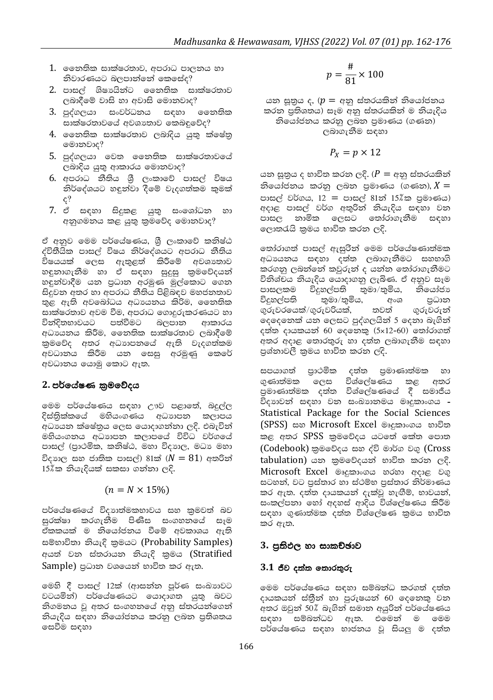- 1. මෛත්ක සාක්ෂරතාව, අපරාධ පාලනය හා නිවාරණයට බලපාන්නේ කෙසේද?
- 2. පාසල් ශිෂායින්ට නෛතික සාක්ෂරතාව ලබාදීමේ වාසි හා අවාසි මොනවාද?
- 3. පුද්ගලයා සංවර්ධනය සඳහා නෛතික සාක්ෂරතාවයේ අවශාතාව කෙබඳුවේද?
- 4. නෛතික සාක්ෂරතාව ලබාදිය යුතු ක්ෂේතු මොනවාද?
- 5. පුද්ගලයා වෙත නෛතික සාක්ෂරතාවයේ ලබාදිය යුතු ආකාරය මොනවාද?
- 6. අපරාධ නීතිය ශුී ලංකාවේ පාසල් විෂය නිර්දේශයට හඳුන්වා දීමේ වැදගත්කම කමක්  $\varepsilon$ ?
- 7. ඒ සඳහා සිදුකළ යුතු සංශෝධන හා අනුගමනය කළ යුතු කුමවේද මොනවාද?

ඒ අනුව මෙම පර්යේෂණය, ශූී ලංකාවේ කනිෂ්ඨ ද්විතීයික පාසල් විෂය නිර්දේශයට අපරාධ නීතිය විෂයයක් ලෙස ඇතුළත් කිරීමේ අවශාතාව හඳුනාගැනීම හා ඒ සඳහා සුදුසු කුමවේදයන් හඳුන්වාදීම යන පුධාන අරමුණ මුල්කොට ගෙන සිදුවන අතර හා අපරාධ නීතිය පිළිබඳව මහජනතාව තුළ ඇති අවබෝධය අධාපයනය කිරිම, නෛතික සාක්ෂරතාව අවම වීම, අපරාධ ගොදුරුකරණයට හා වින්දිතභාවයට පත්වීමට බලපාන ආකාරය අධායනය කිරීම, නෛතික සාක්ෂරතාව ලබාදීමේ කුමවේද අතර අධාහපනයේ ඇති වැදගත්කම අවධානය කිරීම යන සෙසු අරමුණු කෙරේ අවධානය යොමු කොට ඇත.

#### 2. පර්යේෂණ කුමවේදය

මෙම පර්යේෂණය සඳහා ඌව පළාතේ, බදුල්ල දිස්තික්කයේ මහියංගණය අධාහපන කලාපය අධායන ක්ෂේතුය ලෙස යොදාගන්නා ලදි. එබැවින් මහියංගනය අධාහපන කලාපයේ විවිධ වර්ගයේ පාසල් (පුාථමික, කනිෂ්ඨ, මහා විදාහල, මධා මහා විදාහල සහ ජාතික පාසල්) 81ක්  $(N = 81)$  අතරින් 15%ක නියැදියක් සකසා ගන්නා ලදි.

 $(n = N \times 15\%)$ 

පර්යේෂණයේ විදාහත්මකභාවය සහ කුමවත් බව සුරක්ෂා කරගැනීම පිණිස සංගහනයේ සෑම ඒකකයක් ම නියෝජනය වීමේ අවකාශය ඇති සම්භාවිතා නියැදි කුමයට (Probability Samples) අයත් වන ස්තරායන නියැදි කුමය (Stratified Sample) පුධාන වශයෙන් භාවිත කර ඇත.

මෙහි දී පාසල් 12ක් (ආසන්න පූර්ණ සංඛාගවට වටයමින්) පර්යේෂණයට යොදාගත යුතු බවට නිගමනය වූ අතර සංගහනයේ අනු ස්තරයන්ගෙන් නියැදිය සඳහා නියෝජනය කරනු ලබන පුතිශතය සෙවීම සඳහා

$$
p=\frac{\#}{81}\times 100
$$

යන සූතුය ද, ( $p = q\varphi$ ු ස්තරයකින් නියෝජනය කරන පුතිශතය) සෑම අනු ස්තරයකින් ම නියැදිය නියෝජනය කරනු ලබන පුමාණය (ගණන) ලබාගැනීම සඳහා

$$
P_X = p \times 12
$$

යන සුතුය ද භාවිත කරන ලදි. ( $P = e \varphi$ ු ස්තරයකින් නියෝජනය කරනු ලබන පුමාණය (ගණන), $X =$ පාසල් වර්ගය, 12 = පාසල් 81න් 15%ක පුමාණය) අදාළ පාසල් වර්ග අතුරින් නියැදිය සඳහා වන පාසල නාමික ලෙසට තෝරාගැනීම සඳහා ලොතරැයි කුමය භාවිත කරන ලදි.

තෝරාගත් පාසල් ඇසුරින් මෙම පර්යේෂණාත්මක අධායනය සඳහා දත්ත ලබාගැනීමට සහභාගි කරගතු ලබන්නේ කවුරුන් ද යන්න තෝරාගැනීමට විනිශ්චය නියැදිය යොදාගනු ලැබිණ. ඒ අනුව සෑම පාසලකම විදුහල්පති තුමා/තුමිය, නියෝජා විදුහල්පති තුමා/තුමිය, අංශ පුධාන ගරුවරයෙක්/ගරුවරියක්, තවත් ගරුවරුන් දෙදෙනෙක් යන ලෙසට පුද්ගලයින් 5 දෙනා බැගින් දත්ත දායකයන් 60 දෙනෙකු  $(5x12=60)$  තෝරාගත් අතර අදාළ තොරතුරු හා දත්ත ලබාගැනීම සඳහා පුශ්තාවලී කුමය භාවිත කරන ලදි.

සපයාගත් පුාථමික දත්ත පුමාණාත්මක හා ගුණාත්මක ලෙස විශ්ලේෂණය කළ අතර .<br>පමාණාත්මක දත්ත විශ්ලේෂණයේ දී සමාජීය විදාහවන් සඳහා වන සංඛාහනමය මෘදුකාංගය -Statistical Package for the Social Sciences (SPSS) සහ Microsoft Excel මෘදුකාංගය භාවිත කළ අතර SPSS කුමවේදය යටතේ කේත පොත (Codebook) කුමවේදය සහ ද්වි මාර්ග වගු (Cross tabulation) යන කුමවේදයන් භාවිත කරන ලදි. Microsoft Excel මෘදුකාංගය හරහා අදාළ වගු සටහන්, වට පුස්තාර හා ස්ථම්භ පුස්තාර නිර්මාණය කර ඇත. දත්ත දායකයන් දැක්වූ හැඟීම්, භාවයන්, සංකල්පනා හෝ අදහස් ආදිය විශ්ලේෂණය කිරීම සඳහා ගුණාත්මක දත්ත විශ්ලේෂණ කුමය භාවිත කර ඇත.

#### 3. පුතිඵල හා සාකච්ඡාව

#### $3.1$  ජීව දක්ක තොරතුරු

මෙම පර්යේෂණය සඳහා සම්බන්ධ කරගත් දත්ත දායකයන් ස්තීන් හා පුරුෂයන් 60 දෙනෙකු වන අතර ඔවුන් 50% බැගින් සමාන අයුරින් පර්යේෂණය සඳහා සම්බන්ධව ඇත. එමෙන් ම මෙම පර්යේෂණය සඳහා භාජනය වූ සියලු ම දත්ත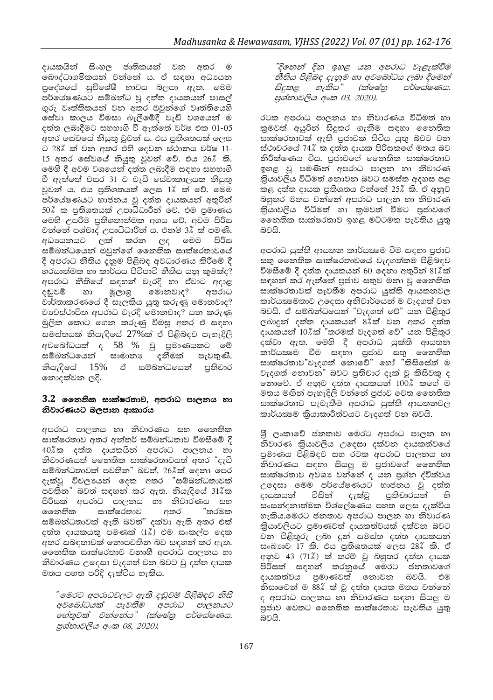දායකයින් සිංහල ජාතිකයන් වන අතර ම බෞද්ධාගමිකයන් වන්නේ ය. ඒ සඳහා අධායන පුදේශයේ සුවිශේෂී භාවය බලපා ඇත. මෙම පර්යේෂණයට සම්බන්ධ වූ දත්ත දායකයන් පාසල් ගුරු වෘත්තිකයන් වන අතර ඔවුන්ගේ වෘත්තියෙහි සේවා කාලය විමසා බැලීමේදී වැඩි වශයෙන් ම දත්ත ලබාදීමට සහභාගි වී ඇත්තේ වර්ෂ එක 01-05 අතර සේවයේ තියුතු වූවන් ය. එය පුතිශතයක් ලෙස ට 28% ක් වන අතර එහි දෙවන ස්ථානය වර්ෂ 11-15 අතර සේවයේ නියුතු වූවන් වේ. එය 26% කි. මෙහි දී අවම වශයෙන් දත්ත ලබාදීම සඳහා සහභාගි වී ඇත්තේ වසර 31 ට වැඩි සේවාකාලයක නියුතු වූවන් ය. එය පුතිශතයක් ලෙස 1% ක් වේ. මෙම පර්යේෂණයට භාජනය වූ දත්ත දායකයන් අතුරින් 50% ක පුතිශතයක් උපාධිධාරීන් වේ. එම පුමාණය මෙහි උපරිම පුතිශතාත්මක අගය වේ. අවම පිරිස වන්නේ පශ්චාද් උපාධිධාරීන් ය. එනම් 3% ක් පමණි. අධායනයට ලක් කරන ලද මෙම පිරිස සම්බන්ධයෙන් ඔවුන්ගේ නෛතික සාක්ෂරතාවයේ දී අපරාධ නීතිය දකුම පිළිබඳ අවධාරණය කිරීමේ දී හරයාත්මක හා කාර්යය පිටිපාටි නීතිය යනු කුමක්ද? අපරාධ නීතියේ සඳහන් වැරදි හා ඒවාට අදාළ දඬුවම් හා මූලාශු මොනවාද? අපරාධ වාර්තාකරණයේ දී සැලකිය යුතු කරුණු මොනවාද? වාවස්ථාපිත අපරාධ වැරදි මොනවාද? යන කරුණු මුලික කොට ගෙන කරුණු විමසු අතර ඒ සඳහා සමස්තයක් නියැඳියේ 27%ක් ඒ පිළිබඳව පැහැදිලි අවබෝධයක් ද 58 % වූ පුමාණයකට මේ දුනීමක් පැවතුණි. සම්බන්ධයෙන් සාමානා නියැදියේ 15% ඒ සම්බන්ධයෙන් පුතිචාර නොදක්වන ලදි.

#### 3.2 නෛතික සාක්ෂරතාව, අපරාධ පාලනය හා නිවාරණයට බලපාන ආකාරය

අපරාධ පාලනය හා නිවාරණය සහ නෛතික සාක්ෂරතාව අතර අන්තර් සම්බන්ධතාව විමසීමේ දී 40%ීක දත්ත දායකයින් අපරාධ පාලනය හා නිවාරණයත් නෛතික සාක්ෂරතාවයත් අතර "දැඩි සම්බන්ධතාවක් පවතින" බවත්, 26%ක් ලදනා පෙර දැක්වූ විචලායන් දෙක අතර "සම්බන්ධතාවක් පවතින" බවත් සඳහන් කර ඇත. නියැදියේ 31%ක පිරිසක් අපරාධ පාලනය හා නිවාරණය සහ ෛතතික සාක්ෂරතාව අතර ්තරමක සම්බන්ධතාවක් ඇති බවත්" දක්වා ඇති අතර එක් දත්ත දායකයකු පමණක් (1%) එම සංකල්ප දෙක අතර සබඳතාවක් නොපවතින බව සඳහන් කර ඇත. නෛතික සාක්ෂරතාව වනාහී අපරාධ පාලනය හා නිවාරණය උදෙසා වැදගත් වන බවට වූ දත්ත දායක මතය පහත පරිදි දැක්විය හැකිය.

ීමෙරට අපරාධවලට ඇති දඬුවම් පිළිබඳව නිසි අවබෝධයක් පැවතීම අපරාධ පාලනයට මහ්තුවක් වන්නේය" (ක්ෂේතු පර්යේෂණය. පුශ්නාවලිය අංක 08, 2020).

"දිනෙන් දින ඉහළ යන අපරාධ වැළැක්වීම නීතිය පිළිබඳ දැනුම හා අවබෝධය ලබා දීමෙන් සිදුකළ හැකිය" (ක්ෂේතු පර්ලය්ෂණය. පුශ්තාවලිය අංක 03, 2020).

රටක අපරාධ පාලනය හා නිවාරණය විධිමත් හා කුමවත් අයුරින් සිදුකර ගැනීම සඳහා නෛතික සාක්ෂරතාවක් ඇති පුජාවක් සිටිය යුතු බවට වන ස්ථාවරයේ 74% ක දත්ත දායක පිරිසකගේ මතය බව නිරීක්ෂණය විය. පුජාවගේ නෛතික සාක්ෂරතාව ඉහළ වූ පමණින් අපරාධ පාලන හා නිවාරණ කියාවලිය විධිමත් නොවන බවට සමස්ත අදහස පළ කළ දත්ත දායක පුතිශතය වන්නේ 25% කි. ඒ අනුව බහුතර මතය වන්නේ අපරාධ පාලන හා නිවාරණ කියාවලිය විධිමත් හා කුමවත් වීමට පුජාවගේ නෛතික සාක්ෂරතාව ඉහළ මට්ටමක පැවතිය යුතු බවයි.

අපරාධ යුක්ති ආයතන කාර්යකෂම වීම සඳහා පුජාව සතු නෛතික සාක්ෂරතාවයේ වැදගත්කම පිළිබඳව විමසීමේ දී දත්ත දායකයන් 60 දෙනා අතුරින් 81%ක් සඳහන් කර ඇත්තේ පුජාව සතුව මනා වූ නෛතික සාක්ෂරතාවක් පැවතීම අපරාධ යුක්ති ආයතනවල කාර්යකෂමතාව උදෙසා අනිවාර්යෙන් ම වැදගත් වන බවයි. ඒ සම්බන්ධයෙන් "වැදගත් වේ" යන පිළිතුර ලබාදුන් දත්ත දායකයන්  $8\overset{2}{\cancel{k}}$ ක් වන අතර දත්ත දායකයන් 10%ක් "තරමක් වැදගත් වේ" යන පිළිතුර .<br>දක්වා ඇත. මෙහි දී අපරාධ යුක්ති ආයතන කාර්යකමෙ වීම සඳහා පුජාව සතු නෛතික සාක්ෂරතාව"වැදගත් නොවේ" හෝ "කිසිසේත් ම වැදගත් තොවන" බවට පුතිචාර දැක් වූ කිසිවකු ද නොවේ. ඒ අනුව දත්ත දායකයන් 100% කගේ ම මතය මඟින් පැහැදිලි වන්නේ පුජාව වෙත නෛතික සාක්ෂරතාව පැවැතීම අපරාධ යුක්ති ආයතනවල කාර්යකමෙ කියාකාරීත්වයට වැදගත් වන බවයි.

ශීු ලංකාවේ ජනතාව මෙරට අපරාධ පාලන හා නිවාරණ කියාවලිය උදෙසා දක්වන දායකත්වයේ පුමාණය පිළිබඳව සහ රටක අපරාධ පාලනය හා නිවාරණය සඳහා සියලු ම පුජාවගේ නෛතික සාක්ෂරතාව අවශා වන්නේ ද යන පුශ්න ද්විත්වය උදෙසා මෙම පර්යේෂණයට භාජනය වූ දත්ත දායකයන් විසින් දැක්වු පුතිචාරයන් හි සංසන්දනාත්මක විශ්ලේෂණය පහත ලෙස දැක්විය හැකිය.මෙරට ජනතාව අපරාධ පාලන හා නිවාරණ කියාවලියට පුමාණවත් දායකත්වයක් දක්වන බවට වන පිළිතුරු ලබා දුන් සමස්ත දත්ත දායකයන් සංඛාහව 17 කි. එය පුතිශතයක් ලෙස 28% කි. ඒ අනුව 43 (71%) ක් තරම් වූ බහුතර දත්ත දායක පිරිසක් සඳහන් කරනුයේ මෙරට ජනතාවගේ දායකත්වය පුමාණවත් තොවන බවයි. එම නිසාවෙන් ම 88% ක් වූ දත්ත දායක මතය වන්නේ ද අපරාධ පාලනය හා නිවාරණය සඳහා සියලු ම පුජාව වෙතට නෛතික සාක්ෂරතාව පැවතිය යුතු බවයි.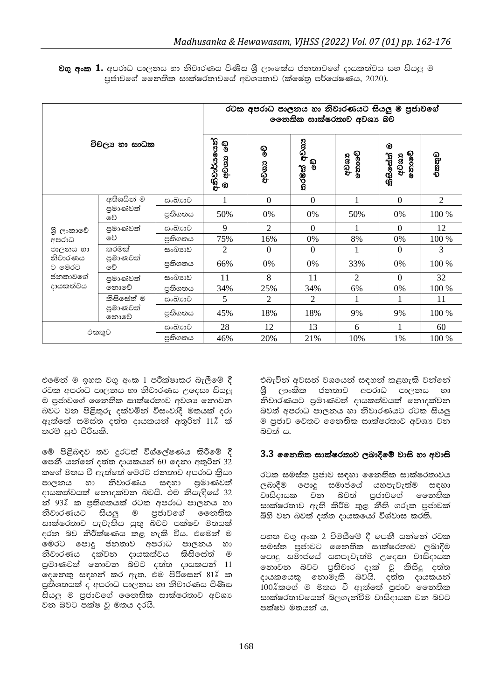|                                                                            |                                | රටක අපරාධ පාලනය හා නිවාරණයට සියලු ම පුජාවගේ<br>ලෙනතික සාක්ෂරතාව අවශා බව |                                     |                |                   |                |                              |                |  |
|----------------------------------------------------------------------------|--------------------------------|-------------------------------------------------------------------------|-------------------------------------|----------------|-------------------|----------------|------------------------------|----------------|--|
| විචලා හා සාධක                                                              |                                |                                                                         | අනිචාර්යයෙන්  <br>ම අව <sup>ය</sup> | စ္စ<br>අවශය    | තරමක් අවශා<br>စ္စ | නොවේ<br>අවශය   | ◉<br>තොවේ<br>කිසිසේත්<br>අවශ | එකතුව          |  |
| ශී ලංකාවේ<br>අපරාධ<br>පාලනය හා<br>නිවාරණය<br>ට මෙරට<br>ජනතාවගේ<br>දායකත්වය | අතිශයින් ම<br>පුමාණවත්<br>වේ   | සංඛාගව                                                                  | $\mathbf{1}$                        | $\mathbf{0}$   | $\Omega$          | 1              | $\Omega$                     | $\overline{2}$ |  |
|                                                                            |                                | පුතිශතය                                                                 | 50%                                 | 0%             | 0%                | 50%            | 0%                           | 100 %          |  |
|                                                                            | පුමාණවත්<br>වේ                 | සංඛාාව                                                                  | 9                                   | $\overline{2}$ | $\mathbf{0}$      |                | $\theta$                     | 12             |  |
|                                                                            |                                | පුතිශතය                                                                 | 75%                                 | 16%            | 0%                | 8%             | 0%                           | 100 %          |  |
|                                                                            | තරමක්<br>පුමාණවත්<br>වේ        | සංඛාගව                                                                  | 2                                   | $\Omega$       | $\overline{0}$    |                | $\mathbf{0}$                 | 3              |  |
|                                                                            |                                | පුතිශතය                                                                 | 66%                                 | 0%             | 0%                | 33%            | 0%                           | 100 %          |  |
|                                                                            | පුමාණවත්<br>නොවේ               | සංඛාාව                                                                  | 11                                  | 8              | 11                | $\overline{c}$ | $\Omega$                     | 32             |  |
|                                                                            |                                | පුතිශතය                                                                 | 34%                                 | 25%            | 34%               | 6%             | 0%                           | 100 %          |  |
|                                                                            | කිසිසේත් ම<br>පුමාණවත්<br>නොවේ | සංඛාාව                                                                  | 5                                   | $\overline{2}$ | 2                 | 1              | 1                            | 11             |  |
|                                                                            |                                | පුතිශතය                                                                 | 45%                                 | 18%            | 18%               | 9%             | 9%                           | 100 %          |  |
| සංඛාගව<br>එකතුව<br>පුතිශතය                                                 |                                |                                                                         | 28                                  | 12             | 13                | 6              |                              | 60             |  |
|                                                                            |                                |                                                                         | 46%                                 | 20%            | 21%               | 10%            | 1%                           | 100 %          |  |

<mark>වගු අංක 1.</mark> අපරාධ පාලනය හා නිවාරණය පිණිස ශීූ ලාංකේය ජනතාවගේ දායකත්වය සහ සියලු ම පුජාවගේ නෛතික සාක්ෂරතාවගේ අවශාතාව (ක්ෂේතු පර්යේෂණය, 2020).

එමෙන් ම ඉහත වගු අංක 1 පරීක්ෂාකර බැලීමේ දී රටක අපරාධ පාලනය හා නිවාරණය උදෙසා සියලු ම පුජාවගේ නෛතික සාක්ෂරතාව අවශා නොවන බවට වන පිළිතුරු දක්වමින් විසංවාදී මතයක් දරා ඇත්තේ සමස්ත දත්ත දායකයන් අතුරින් 11% ක් තරම් සුළු පිරිසකි.

මේ පිළිබඳව තව දුරටත් විශ්ලේෂණය කිරීමේ දී පෙනී යන්නේ දත්ත දායකයන් 60 දෙනා අතුරින් 32 කගේ මතය වී ඇත්තේ මෙරට ජනතාව අපරාධ කියා පාලනය හා නිවාරණය සඳහා පුමාණවත් දායකත්වයක් නොදක්වන බවයි. එම නියැඳියේ 32 න් 93% ක පුතිශතයක් රටක අපරාධ පාලනය හා නිවාරණයට සියලු ම පුජාවගේ නෛතික සාක්ෂරතාව පැවැතිය යුතු බවට පක්ෂව මතයක් දරන බව නිරීක්ෂණය කළ හැකි විය. එමෙන් ම මෙරට පොදු ජනතාව අපරාධ පාලනය හා නිවාරණය දක්වන දායකත්වය කිසිසේත් ම පුමාණවත් නොවන බවට දත්ත දායකයන් 11 ලදනෙකු සඳහන් කර ඇත. එම පිරිසෙන් 81% ක පුතිශතයක් ද අපරාධ පාලනය හා නිවාරණය පිණිස සියලු ම පුජාවගේ නෛතික සාක්ෂරතාව අවශා වන බවට පක්ෂ වු මතය දරයි.

එබැවින් අවසන් වශයෙන් සඳහන් කළහැකි වන්නේ ශී ලාංකික ජනතාව අපරාධ පාලනය හා නිවාරණයට පුමාණවත් දායකත්වයක් නොදක්වන බවත් අපරාධ පාලනය හා නිවාරණයට රටක සියලු ම පුජාව වෙතට නෛතික සාක්ෂරතාව අවශා වත බවත් ය.

#### 3.3 නෛතික සාක්ෂරතාව ලබාදීමේ වාසි හා අවාසි

රටක සමස්ත පුජාව සඳහා නෛතික සාක්ෂරතාවය ලබාදීම පොදු සමාජයේ යහපැවැත්ම සඳහා වාසිදායක වන බවත් පුජාවගේ නෛතික සාක්ෂරතාව ඇති කිරීම තුළ නීති ගරුක පුජාවක් බිහි වන බවත් දත්ත දායකයෝ විශ්වාස කරති.

පහත වගු අංක 2 විමසීමේ දී පෙනී යන්නේ රටක සමස්ත පුජාවට නෛතික සාක්ෂරතාව ලබාදීම පොදු සමාජයේ යහපැවැත්ම උදෙසා වාසිදායක නොවන බවට පුතිචාර දැක් වු කිසිදු දත්ත දායකයෙකු නොමැති බවයි. දත්ත දායකයන් 100%කගේ ම මතය වී ඇත්තේ පුජාව ගෛතික සාක්ෂරතාවයෙන් බලගැන්වීම වාසිදායක වන බවට පක්ෂව මතයන් ය.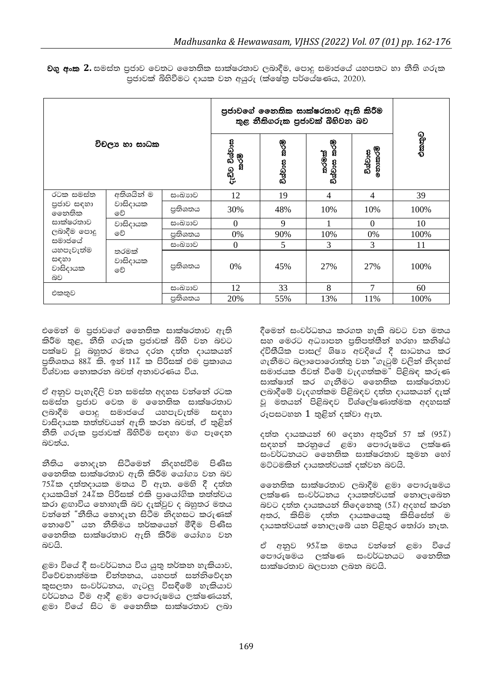|                                                                                                  |                              | පුජාවගේ නෛතික සාක්ෂරතාව ඇති කිරීම<br>තුළ නීතිගරුක පුජාවක් බිහිවන බව |                       |                 |                                 |                   |       |
|--------------------------------------------------------------------------------------------------|------------------------------|---------------------------------------------------------------------|-----------------------|-----------------|---------------------------------|-------------------|-------|
| විචලා හා සාධක                                                                                    |                              |                                                                     | දැඩිව විශ්වාස<br>කරමි | කරම්<br>විශ්වාස | ්ලි<br>කරමි<br>තරමක්<br>විශ්වාස | විශ්වාස<br>තොකරමි | එකතුව |
| රටක සමස්ත                                                                                        | අතිශයින් ම<br>වාසිදායක<br>වේ | සංඛාගව                                                              | 12                    | 19              | $\overline{4}$                  | 4                 | 39    |
| පුජාව සඳහා<br>ෛතතික<br>සාක්ෂරතාව<br>ලබාදීම පොදු<br>සමාජයේ<br>යහපැවැත්ම<br>සඳහා<br>වාසිදායක<br>බව |                              | පුතිශතය                                                             | 30%                   | 48%             | 10%                             | 10%               | 100%  |
|                                                                                                  | වාසිදායක<br>වේ               | සංඛාගව                                                              | $\mathbf{0}$          | 9               |                                 | $\overline{0}$    | 10    |
|                                                                                                  |                              | පුතිශතය                                                             | 0%                    | 90%             | 10%                             | 0%                | 100%  |
|                                                                                                  | තරමක්<br>වාසිදායක<br>වේ      | සංඛාගව                                                              | $\mathbf{0}$          | 5               | 3                               | 3                 | 11    |
|                                                                                                  |                              | පුතිශතය                                                             | 0%                    | 45%             | 27%                             | 27%               | 100%  |
| සංඛාගව<br>එකතුව<br>පුතිශතය                                                                       |                              |                                                                     | 12                    | 33              | 8                               | 7                 | 60    |
|                                                                                                  |                              |                                                                     | 20%                   | 55%             | 13%                             | 11%               | 100%  |

**වගු අංක 2.** සමස්ත පුජාව වෙතට නෛතික සාක්ෂරතාව ලබාදීම, පොදු සමාජයේ යහපතට හා නීති ගරුක පුජාවක් බිහිවීමට දායක වන අයුරු (ක්ෂේතු පර්යේෂණය, 2020).

එමෙන් ම පුජාවගේ නෛතික සාක්ෂරතාව ඇති කිරීම තුළ, නීති ගරුක පුජාවක් බිහි වන බවට පක්ෂව වූ බහුතර මතය දරන දත්ත දායකයන් පතිශතය 88% කි. ඉන් 11% ක පිරිසක් එම පුකාශය විශ්වාස නොකරන බවත් අනාවරණය විය.

ඒ අනුව පැහැදිලි වන සමස්ත අදහස වන්නේ රටක සමස්ත පුජාව වෙත ම නෛතික සාක්ෂරතාව ලබාදීම පොදු සමාජයේ යහපැවැත්ම සඳහා වාසිදායක තත්ත්වයන් ඇති කරන බවත්, ඒ තුළින් නීති ගරුක පුජාවක් බිහිවීම සඳහා මග පෑදෙන බවත්ය.

නීතිය නොදැන සිටීමෙන් නිදහස්වීම පිණිස ලෙනතික සාක්ෂරතාව ඇති කිරීම යෝගා වන බව 75%ික දත්තදායක මතය වී ඇත. මෙහි දී දත්ත දායකයින් 24%ක පිරිසක් එකි පායෝගික තත්ත්වය කරා ළඟාවිය නොහැකි බව දැක්වුව ද බහුතර මතය වන්නේ "නීතිය නොදැන සිටීම නිදහසට කරුණක් නොවේ" යන නීතිමය තර්කයෙන් මීදීම පිණිස නෛතික සාක්ෂරතාව ඇති කිරීම යෝගා වන බවයි.

ළමා වියේ දී සංවර්ධනය විය යුතු තර්කන හැකියාව, විවේචනාත්මක චින්තනය, යහපත් සන්නිවේදන කුසලතා සංවර්ධනය, ගැටලු විසඳීමේ හැකියාව වර්ධනය වීම ආදී ළමා පෞරුෂමය ලක්ෂණයන්, ළමා වියේ සිට ම නෛතික සාක්ෂරතාව ලබා දීමෙන් සංවර්ධනය කරගත හැකි බවට වන මතය සහ මෙරට අධාහපන පුතිපත්තීන් හරහා කනිෂ්ඨ ද්විතීයික පාසල් ශිෂා අවදියේ දී සාධනය කර ගැනීමට බලාපොරොත්තු වන "ගැටුම් වලින් නිදහස් සමාජයක ජීවත් වීමේ වැදගත්කම" පිළිබඳ කරුණ සාක්ෂාත් කර ගැනීමට නෛතික සාක්ෂරතාව ලබාදීමේ වැදගත්කම පිළිබඳව දත්ත දායකයන් දැක් වූ මතයන් පිළිබඳව විශ්ලේෂණාත්මක අදහසක් රූපසටහන  $1$  තුළින් දක්වා ඇත.

දත්ත දායකයන් 60 ලදනා අතුරින් 57 ක් (95%) සඳහන් කරනුයේ ළමා පෞරුෂමය ලක්ෂණ සංවර්ධනයට නෛතික සාක්ෂරතාව කමන හෝ මට්ටමකින් දායකත්වයක් දක්වන බවයි.

නෛතික සාක්ෂරතාව ලබාදීම ළමා පෞරුෂමය ලක්ෂණ සංවර්ධනය දායකත්වයක් නොලැබෙන බවට දත්ත දායකයන් තිදෙනෙකු (5%) අදහස් කරන අතර, කිසිම දත්ත දායකයෙකු කිසිසේත් ම දායකත්වයක් නොලැබේ යන පිළිතුර තෝරා නැත.

ඒ අනුව 95%ික මතය වන්නේ ළමා වියේ පෞරුමේය ලක්ෂණ සංවර්ධනයට නෛතික සාක්ෂරතාව බලපාන ලබන බවයි.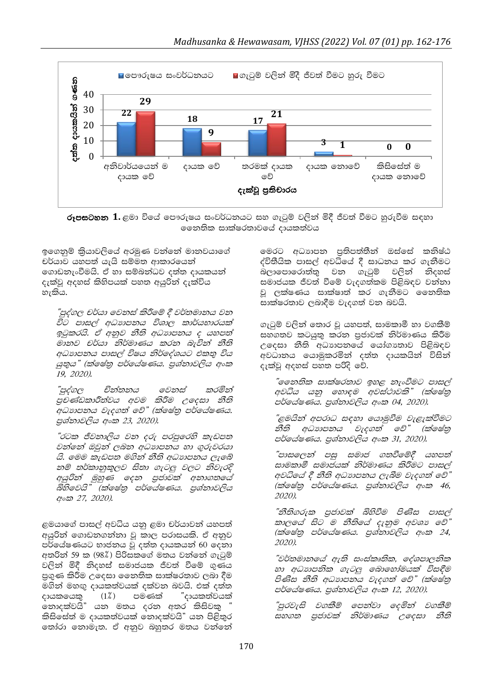

**රූපසටහන 1.** ළමා වියේ පෞරුෂය සංවර්ධනයට සහ ගැටුම් වලින් මිදී ජීවත් වීමට හුරුවීම සඳහා මෙනතික සාක්ෂරතාවගේ දායකත්වය

ඉගෙනුම් කියාවලියේ අරමුණ වන්නේ මානවයාගේ චර්යාව යහපත් යැයි සම්මත ආකාරයෙන් ගොඩනැංවීමයි. ඒ හා සම්බන්ධව දත්ත දායකයන් දැක්වු අදහස් කිහිපයක් පහත අයුරින් දැක්විය හැකිය.

"පුද්ගල චර්යා වෙනස් කිරීමේ දී වර්තමානය වන විට පාසල් අධාහපනය විශාල කාර්යභාරයක් ඉටුකරයි. ඒ අනුව නීති අධාාපනය ද යහපත් මානව චර්යා නිර්මාණය කරන බැවින් නීති අධාහපනය පාසල් විෂය නිර්දේශයට එකතු විය යුතුය" (ක්ෂේතු පර්යේෂණය. පුශ්නාවලිය අංක 19, 2020).

චින්තනය "පුද්ගල මෙනස් කරමින් පුචණ්ඩකාරීත්වය අවම කිරීම උදෙසා නීති අධාහපනය වැදගත් වේ" (ක්ෂේතු පර්යේෂණය. පුශ්නාවලිය අංක 23, 2020).

"රටක ජීවනාලිය වන දරු පරපුරෙහි කැඩපත වන්නේ ඔවුන් ලබන අධාහපනය හා ගුරුවරයා යි. මෙම කැඩපත මගින් නීති අධාහපනය ලැබේ නම් තර්කානුකූලව සිතා ගැටලු වලට නිවැරදි අයුරින් මුහුණ දෙන පුජාවක් අනාගතයේ බිහිවෙයි" (ක්ෂේතු පර්යේෂණය. පුශ්තාවලිය අංක 27, 2020).

ළමයාගේ පාසල් අවධිය යනු ළමා චර්යාවන් යහපත් අයුරිත් ගොඩනගත්තා වූ කාල පරාසයකි. ඒ අනුව පර්යේෂණයට භාජනය වූ දත්ත දායකයන් 60 දෙනා අතරින් 59 ක (98%) පිරිසකගේ මතය වන්නේ ගැටුම් වලින් මිදී නිදහස් සමාජයක ජීවත් වීමේ ගුණය පුගුණ කිරීම උදෙසා නෛතික සාක්ෂරතාව ලබා දීම මගින් මහඟු දායකත්වයක් දක්වන බවයි. එක් දත්ත දායකයෙකු  $(1\%)$ පමණක් ්දායකත්වයක් නොදක්වයි" යන මතය දරන අතර කිසිවකු කිසිසේත් ම දායකත්වයක් නොදක්වයි" යන පිළිතුර තෝරා තොමැත. ඒ අනුව බහුතර මතය වන්නේ මෙරට අධාාපන පතිපත්තීන් ඔස්සේ කනිෂ්ඨ ද්විතීයික පාසල් අවධියේ දී සාධනය කර ගැනීමට වන ගැටුම් වලින් නිදහස් බලාපොරොත්ත සමාජයක ජීවත් වීමේ වැදගත්කම පිළිබඳව වන්නා වු ලක්ෂණය සාක්ෂාත් කර ගැනීමට නෛතික සාක්ෂරතාව ලබාදීම වැදගත් වන බවයි.

ගැටුම් වලින් තොර වු යහපත්, සාමකාමී හා වගකීම් සහගතව කටයුතු කරන පුජාවක් නිර්මාණය කිරීම උදෙසා නීති අධාහපනයේ යෝගාතාව පිළිබඳව අවධානය යොමුකරමින් දත්ත දායකයින් විසින් දැක්වූ අදහස් පහත පරිදි වේ.

"නෛතික සාක්ෂරතාව ඉහළ නැංවීමට පාසල් අවධිය යනු හොඳම අවස්ථාවකි" (ක්ෂේතු පර්ගය්ෂණය. පුශ්තාවලිය අංක 04, 2020).

"ළමයින් අපරාධ සඳහා යොමුවීම වැළැක්වීමට නීති අධාහපනය වැදගත් වේ" (ක්ෂේතු පර්ගය්ෂණය. පුශ්නාවලිය අංක 31, 2020).

"පාසලෙන් පසු සමාජ ගතවීමේදී යහපත් සාමකාමී සමාජයක් නිර්මාණය කිරීමට පාසල් අවධියේ දී නීති අධාාපනය ලැබීම වැදගත් වේ" (ක්ෂේතු පර්යේෂණය. පුශ්නාවලිය අංක 46, 2020).

"නීතිගරුක පුජාවක් බිහිවීම පිණිස පාසල් කාලයේ සිට ම නීතියේ දැනුම අවශා වේ" (ක්ෂේතු පර්ගේෂණය. පුශ්නාවලිය අංක 24, 2020).

"වර්තමානයේ ඇති සංස්කෘතික, දේශපාලනික හා අධාහපනික ගැටලු බොහෝමයක් විසඳීම පිණිස නීති අධාහපනය වැදගත් වේ" (ක්ෂේතු පර්ගේෂණය. පුශ්නාවලිය අංක 12, 2020).

"පුරවැසි වගකීම් පෙන්වා දෙමින් වගකීම් සහගත පුජාවක් නිර්මාණය උදෙසා නීති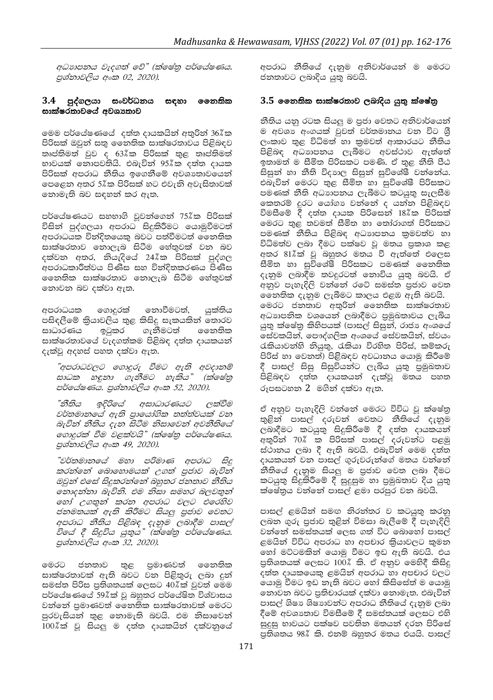අධාහපනය වැදගත් වේ" (ක්ෂේතු පර්යේෂණය. පුශ්නාවලිය අංක 02, 2020).

#### 3.4 පුද්ගලයා සංවර්ධනය සඳහා නෛතික සාක්ෂරතාවයේ අවශාතාව

මෙම පර්යේෂණයේ දත්ත දායකයින් අතුරින් 36%ක පිරිසක් ඔවුන් සතු නෛතික සාක්ෂරතාවය පිළිබඳව තෘප්තිමත් වුව ද 63 $\ell$ ක පිරිසක් තුළ තෘප්තිමත් භාවයක් නොපවතියි. එබැවින් 95%ක දත්ත දායක පිරිසක් අපරාධ නීතිය ඉගෙනීමේ අවශාතාවයෙන් පෙළෙන අතර 5%ක පිරිසක් හට එවැනි අවැසිතාවක් නොමැති බව සඳහන් කර ඇත.

පර්යේෂණයට සහභාගි වුවන්ගෙන් 75%ක පිරිසක් විසින් පුද්ගලයා අපරාධ සිදුකිරීමට යොමුවීමටත් අපරාධයක වින්දිතයෙකු බවට පත්වීමටත් නෛතික සාක්ෂරතාව නොලැබ සිටීම හේතුවක් වන බව දක්වන අතර, නියැදියේ 24%ක පිරිසක් පුද්ගල අපරාධකාරීත්වය පිණිස සහ විත්දිතකරණය පිණිස නෛතික සාක්ෂරතාව නොලැබ සිටීම හේතුවක් තොවන බව දක්වා ඇත.

අපරාධයක ගොදුරක් තොවීමටත්, යක්තිය පසිඳලීමේ කියාවලිය තුළ කිසිදු සැකයකින් තොරව ගැනීමටත් ෛතතික සාධාරණය ඉටුකර සාක්ෂරතාවයේ වැදගත්කම පිළිබඳ දත්ත දායකයන් දැක්වූ අදහස් පහත දක්වා ඇත.

"අපරාධවලට ගොදුරු වීමට ඇති අවදානම් සාධක හඳුනා ගැනීමට හැකිය" (ක්ෂේතු පර්ගේෂණය. පුශ්නාවලිය අංක 52, 2020).

"නීතිය ඉදිරියේ අසාධාරණයට ලක්වීම වර්තමානයේ ඇති පායෝගික තත්ත්වයක් වන බැවින් නීතිය දැන සිටීම නිසාවෙන් අවනීතියේ ගොදුරක් වීම වළක්වයි" (ක්ෂේතු පර්යේෂණය. පුශ්නාවලිය අංක 49, 2020).

"වර්තමානයේ මහා පරිමාණ අපරාධ සිදු කරන්නේ බොහොමයක් උගත් පුජාව බැවින් ඔවුන් එසේ සිදුකරන්නේ බහුතර ජනතාව නීතිය නොදන්නා බැවිනි. එම නිසා සමහර බලවතුන් හෝ උගතුන් කරන අපරාධ වලට එරෙහිව ජනමතයක් ඇති කිරීමට සියලු පුජාව වෙතට අපරාධ නීතිය පිළිබඳ දැනුම ලබාදීම පාසල් විගේ දී සිදුවිය යුතුය" (ක්ෂේතු පර්යේෂණය. පුශ්නාවලිය අංක 32, 2020).

මෙරට ජනතාව තුළ පුමාණවත් නෛතික සාක්ෂරතාවක් ඇති බවට වන පිළිතුරු ලබා දුන් සමස්ත පිරිස පුතිශතයක් ලෙසට 40%ක් වුවත් මෙම පර්යේෂණයේ 59%ක් වූ බහුතර පර්යේෂිත විශ්වාසය වන්නේ පමාණවත් නෛතික සාක්ෂරතාවක් මෙරට පුරවැසියන් තුළ නොමැති බවයි. එම නිසාවෙන් 100%ක් වූ සියලු ම දත්ත දායකයින් දක්වනුයේ අපරාධ නීතියේ දැනුම අනිවාර්යෙන් ම මෙරට ජනතාවට ලබාදිය යුතු බවයි.

#### 3.5 නෛතික සාක්ෂරතාව ලබාදිය යුතු ක්ෂේතු

නීතිය යනු රටක සියලු ම පුජා වෙතට අනිවාර්යෙන් ම අවශා අංගයක් වුවත් වර්තමානය වන විට ශී ලංකාව තුළ විධිමත් හා කුමවත් ආකාරයට නීතිය පිළිබඳ අධාහපනය ලැබීමට අවස්ථාව ඇත්තේ ඉතාමත් ම සීමිත පිරිසකට පමණි. ඒ තුළ නීති පීඨ සිසුන් හා නීති විදාහල සිසුන් සුවිශේෂී වන්නේය. එබැවින් මෙරට තුළ සීමිත හා සුවිශේෂී පිරිසකට පමණක් නීති අධාහපනය ලැබීමට කටයුතු සැලසීම කෙතරම් දුරට යෝගා වන්නේ ද යන්න පිළිබඳව විමසීමේ දී දත්ත දායක පිරිසෙන් 18%ක පිරිසක් මෙරට තුළ තවමත් සීමිත හා තෝරාගත් පිරිසකට පමණක් නීතිය පිළිබඳ අධාහපනය කුමවත්ව හා විධිමත්ව ලබා දීමට පක්ෂව වූ මතය පුකාශ කළ අතර 81%ික් වු බහුතර මතය වී ඇත්තේ එලෙස සීමිත හා සුවිශේෂී පිරිසකට පමණක් නෛතික දැනුම ලබාදීම තවදුරටත් නොවිය යුතු බවයි. ඒ අනුව පැහැදිලි වන්නේ රටේ සමස්ත පුජාව වෙත නෛතික දැනුම ලැබීමට කාලය එළඹ ඇති බවයි. මෙරට ජනතාව අතුරින් නෛතික සාක්ෂරතාව අධාහපනික වශයෙන් ලබාදීමට පුමුඛතාවය ලැබිය යුතු ක්ෂේතු කිහිපයක් (පාසල් සිසුන්, රාජා අංශයේ සේවකයින්, පෞද්ගලික අංශයේ සේවකයින්, ස්වයං රැකියාවන්හි නියුතු, රැකියා විරහිත පිරිස්, කම්කරු පිරිස් හා වෙනත්) පිළිබඳව අවධානය යොමු කිරීමේ දී පාසල් සිසු සිසුවියන්ට ලැබිය යුතු පුමුඛතාව පිළිබඳව දත්ත දායකයන් දැක්වූ මතය පහත රූපසටහන 2 මගින් දක්වා ඇත.

ඒ අනුව පැහැදිලි වන්නේ මෙරට විවිධ වූ ක්ෂේතු තුළින් පාසල් දරුවන් වෙතට නීතියේ දැනුම ලබාදීමට කටයුතු සිදුකිරීමේ දී දත්ත දායකයන් අතුරින් 70% ක පිරිසක් පාසල් දරුවන්ට පළමු ස්ථානය ලබා දී ඇති බවයි. එබැවින් මෙම දත්ත දායකයන් වන පාසල් ගුරුවරුන්ගේ මතය වන්නේ නීතියේ දැනුම සියලු ම පුජාව වෙත ලබා දීමට කටයුතු සිදුකිරීමේ දී සුදුසුම හා පුමුඛතාව දිය යුතු ක්ෂේතුය වත්තේ පාසල් ළමා පරපුර වන බවයි.

පාසල් ළමයින් සමඟ නිරත්තර ව කටයුතු කරනු ලබන ගුරු පුජාව තුළින් විමසා බැලීමේ දී පැහැදිලි වන්නේ සමස්තයක් ලෙස ගත් විට බොහෝ පාසල් ළමයින් විවිධ අපරාධ හා අපචාර කියාවලට කුමන හෝ මට්ටමකින් යොමු වීමට ඉඩ ඇති බවයි. එය පුතිශතයක් ලෙසට 100% කි. ඒ අනුව මෙහිදී කිසිදු දත්ත දායකයෙකු ළමයින් අපරාධ හා අපචාර වලට යොමු වීමට ඉඩ තැති බවට හෝ කිසිසේත් ම යොමු නොවන බවට පුතිචාරයක් දක්වා නොමැත. එබැවින් පාසල් ශිෂා ශිෂාාවන්ට අපරාධ නීතියේ දැනුම ලබා දීමේ අවශාතාව විමසීමේ දී සමස්තයක් ලෙසට එහි සුදුසු භාවයට පක්ෂව පවතින මතයන් දරන පිරිසේ පුතිශතය 98% කි. එනම් බහුතර මතය එයයි. පාසල්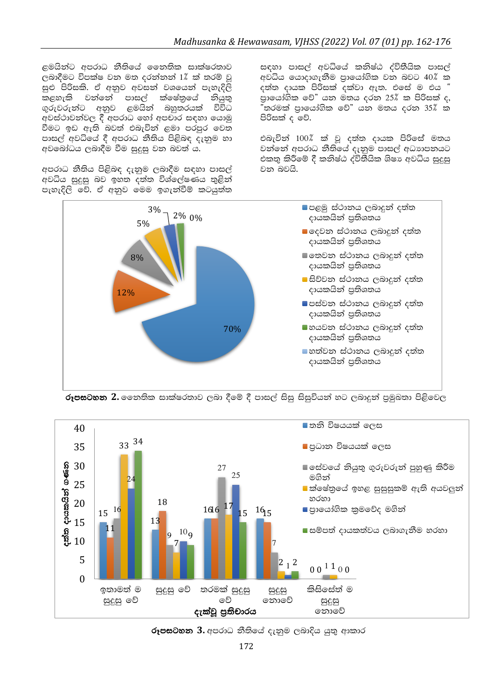ළමයින්ට අපරාධ නීතියේ නෛතික සාක්ෂරතාව ලබාදීමට විපක්ෂ වන මත දරන්නන් 1% ක් තරම් වු සුළු පිරිසකි. ඒ අනුව අවසන් වශයෙන් පැහැදිලි කළහැකි වන්නේ පාසල් ක්ෂේතුයේ නියුතු  $\,$ ගුරුවරුන්ට අනුව ළමයින් බහුතරයක් විවිධ අවස්ථාවන්වල දී අපරාධ හෝ අපචාර සඳහා යොමු වීමට ඉඩ ඇති බවත් එබැවින් ළමා පරපුර වෙත පාසල් අවධියේ දී අපරාධ නීතිය පිළිබඳ දැනුම හා අවබෝධය ලබාදීම වීම සුදුසු වන බවත් ය.

අපරාධ නීතිය පිළිබඳ දැනුම ලබාදීම සඳහා පාසල් අවධිය සුදුසු බව ඉහත දත්ත විශ්ලේෂණය තුළින් පැහැදිලි වේ. ඒ අනුව මෙම ඉගැන්වීම් කටයුත්ත සඳහා පාසල් අවධියේ කනිෂ්ඨ ද්විතීයික පාසල් අවධිය යොදාගැනීම පුායෝගික වන බවට 40 $\text{\textdegree}$  ක දත්ත දායක පිරිසක් දක්වා ඇත. එසේ ම එය " පායෝගික වේ" යන මතය දරන 25 $\ell$  ක පිරිසක් ද,  $^{\circ}$ තරමක් පාරොග්ගික වේ" යන මතය දරන 35 $\%$  ක පිරිසක් ද වේ.

එබැවින් 100% ක් වූ දත්ත දායක පිරිසේ මතය වන්නේ අපරාධ නීතියේ දැනුම පාසල් අධාහපනයට එකතු කිරීමේ දී කනිෂ්ඨ ද්විතීයික ශිෂා අවධිය සුදුසු වන බවයි.



**රූපසටහන 2.** නෛතික සාක්ෂරතාව ලබා දීමේ දී පාසල් සිසු සිසුවියන් හට ලබාදුන් පුමුඛතා පිළිවෙල



රූපසටහන 3. අපරාධ නීතියේ දැනුම ලබාදිය යුතු ආකාර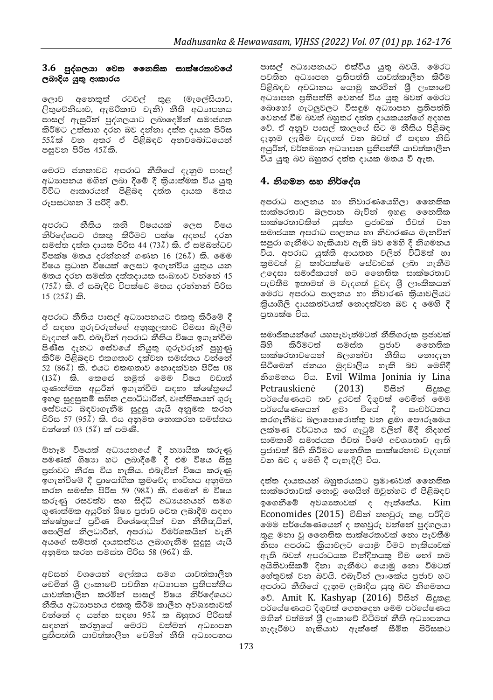#### $3.6$  පුද්ගලයා වෙත නෛතික සාක්ෂරතාවයේ ලබාදිය යුතු ආකාරය

ලොව අනෙකුත් රටවල් තුළ (මැලේසියාව, ලිතුවේනියාව, ඇමරිකාව වැනි) නීති අධාහපනය පාසල් ඇසුරින් පුද්ගලයාට ලබාදෙමින් සමාජගත කිරීමට උත්සාහ දරන බව දන්නා දත්ත දායක පිරිස 55%ක් වන අතර ඒ පිළිබඳව අනවබෝධයෙන් පසුවන පිරිස 45%කි.

මෙරට ජනතාවට අපරාධ නීතියේ දැනුම පාසල් අධාහපනය මගින් ලබා දීමේ දී කියාත්මක විය යුතු විවිධ ආකාරයන් පිළිබඳ දත්ත දායක මතය රූපසටහන 3 පරිදි වේ.

අපරාධ නීතිය තනි විෂයයක් ලෙස විෂය නිර්දේශයට එකතු කිරීමට පක්ෂ අදහස් දරන සමස්ත දත්ත දායක පිරිස 44 (73%) කි. ඒ සම්බන්ධව විපක්ෂ මතය දරන්නන් ගණන 16 (26%) කි. මෙම විෂය පුධාන විෂයක් ලෙසට ඉගැන්විය යුතුය යන මතය දරන සමස්ත දත්තදායක සංඛාගව වන්නේ 45 (75%) කි. ඒ සබැඳිව විපක්ෂව මතය දරන්නන් පිරිස  $15(25%)$  කි.

අපරාධ නීතිය පාසල් අධාාපනයට එකතු කිරීමේ දී ඒ සඳහා ගුරුවරුන්ගේ අනුකූලතාව විමසා බැලීම වැදගත් වේ. එබැවින් අපරාධ නීතිය විෂය ඉගැන්වීම පිණිස දැනට සේවයේ නියුතු ගුරුවරුන් පුහුණු කිරීම පිළිබඳව එකගතාව දක්වන සමස්තය වන්නේ  $52$   $(86\%)$  කි. එයට එකඟතාව නොදක්වන පිරිස 08 (13%) කි. කෙසේ නමුත් මෙම විෂය වඩාත් ගුණාත්මක අයුරින් ඉගැන්වීම සඳහා ක්ෂේතුයේ ඉහළ සුදුසුකම් සහිත උපාධිධාරීන්, වෘත්තිකයන් ගුරු සේවයට බඳවාගැනීම සුදුසු යැයි අනුමත කරන පිරිස 57 (95%) කි. එය අනුමත නොකරන සමස්තය වන්නේ 03 (5%) ක් පමණි.

ඕනෑම විෂයක් අධාපයනයේ දී නාහයික කරුණු පමණක් ශිෂාහ හට ලබාදීමේ දී එම විෂය සිසු පුජාවට නීරස විය හැකිය. එබැවින් විෂය කරුණු ඉගැන්වීමේ දී පායෝගික කුමවේද භාවිතය අනුමත කරන සමස්ත පිරිස 59 (98%) කි. එමෙන් ම විෂය කරුණු රසවත්ව සහ සිද්ධි අධාපයනයන් සමග ගුණාත්මක අයුරින් ශිෂා පුජාව වෙත ලබාදීම සඳහා ක්ෂේතුයේ පුවීණ විශේෂඥයින් වන නීතීඥයින්, පොලිස් නිලධාරීන්, අපරාධ විමර්ශකයින් වැනි අයගේ සම්පත් දායකත්වය ලබාගැනීම සුදුසු යැයි අනුමත කරන සමස්ත පිරිස 58 (96%) කි.

අවසන් වශයෙන් ලෝකය සමග යාවත්කාලීන වෙමින් ශී ලංකාවේ පවතින අධාාපන පුතිපත්තිය යාවත්කාලීන කරමින් පාසල් විෂය නිර්දේශයට නීතිය අධාාපනය එකතු කිරීම කාලීන අවශාතාවක් වන්නේ ද යන්න සඳහා 95% ක බහුතර පිරිසක් සඳහන් කරනුයේ මෙරට වත්මන් අධාහපන පුතිපත්ති යාවත්කාලීන වෙමින් නීති අධාහපනය පාසල් අධාහපනයට එක්විය යුතු බවයි. මෙරට පවතින අධාාපන පුතිපත්ති යාවත්කාලීන කිරීම පිළිබඳව අවධානය යොමු කරමින් ශූී ලංකාවේ අධාගපන පුතිපත්ති වෙනස් විය යුතු බවත් මෙරට බොහෝ ගැටලුවලට විසඳුම අධාහපන පුතිපත්ති වෙනස් වීම බවත් බහුතර දත්ත දායකයන්ගේ අදහස වේ. ඒ අනුව පාසල් කාලයේ සිට ම නීතිය පිළිබඳ දැනුම ලැබීම වැදගත් වන බවත් ඒ සඳහා නිසි අයුරින්, වර්තමාන අධාාපන පුතිපත්ති යාවත්කාලීන විය යුතු බව බහුතර දත්ත දායක මතය වී ඇත.

#### 4. නිගමන සහ නිර්දේශ

අපරාධ පාලනය හා නිවාරණයෙහිලා නෛතික සාක්ෂරතාව බලපාන බැවින් ඉහළ නෛතික සාක්ෂරතාවකින් යුක්ත පුජාවක් ජීවත් වන සමාජයක අපරාධ පාලනය හා නිවාරණය මැතවින් සපුරා ගැනීමට හැකියාව ඇති බව මෙහි දී නිගමනය විය. අපරාධ යුක්ති ආයතන වලින් විධිමත් හා කුමවත් වූ කාර්යක්ෂම සේවාවක් ලබා ගැනීම උදෙසා සමාජීකයන් හට නෛතික සාක්ෂරතාව පැවතීම ඉතාමත් ම වැදගත් වුවද ශීු ලාංකිකයන් මෙරට අපරාධ පාලනය හා නිවාරණ කියාවලියට කියාශීලි දායකත්වයක් නොදක්වන බව ද මෙහි දී පුතාක්ෂ විය.

සමාජීකයන්ගේ යහපැවැත්මටත් නීතිගරුක පුජාවක් බිහි කිරීමටත් සමස්ත පුජාව නෛතික සාක්ෂරතාවයෙන් බලගන්වා නීතිය නොදැන සිටීමෙන් ජනයා මුදවාලිය හැකි බව මෙහිදී නිගමනය විය. Evil Wilma Joninia iy Lina Petrauskienė  $(2013)$ විසින් සිදකළ පර්යේෂණයට තව දුරටත් දිගුවක් වෙමින් මෙම පර්යේෂණයෙන් ළමා වියේ දී සංවර්ධනය කරගැනීමට බලාපොරොත්තු වන ළමා පෞරුෂමය ලක්ෂණ වර්ධනය කර ගැටුම් වලින් මිදී නිදහස් සාමකාමී සමාජයක ජීවත් වීමේ අවශාතාව ඇති පුජාවක් බිහි කිරීමට නෛතික සාක්ෂරතාව වැදගත් වන බව ද මෙහි දී පැහැදිලි විය.

දත්ත දායකයන් බහුතරයකට පුමාණවත් නෛතික සාක්ෂරතාවක් නොවූ හෙයින් ඔවුන්හට ඒ පිළිබඳව ඉගෙනීමේ අවශාතාවක් ද ඇත්තේය. Kim Economides (2015) විසින් තහවුරු කළ පරිදිම මෙම පර්යේෂණයෙන් ද තහවුරු වන්නේ පුද්ගලයා තුළ මනා වූ නෛතික සාක්ෂරතාවක් නො පැවතීම නිසා අපරාධ කියාවලට යොමු වීමට හැකියාවක් ඇති බවත් අපරාධයක වින්දිතයකු වීම හෝ තම අයිතිවාසිකම් දිනා ගැනීමට යොමු නො වීමටත් හේතුවක් වන බවයි. එබැවින් ලාංඉක්ය පුජාව හට අපරාධ නීතියේ දැනුම ලබාදිය යුතු බව නිගමනය වේ. Amit K. Kashyap (2016) විසින් සිදුකළ පර්යේෂණයට දිගුවක් ගෙනදෙන මෙම පර්යේෂණය මඟින් වත්මන් ශීූ ලංකාවේ විධිමත් නීති අධාහපනය හැදෑරීමට හැකියාව ඇත්තේ සීමිත පිරිසකට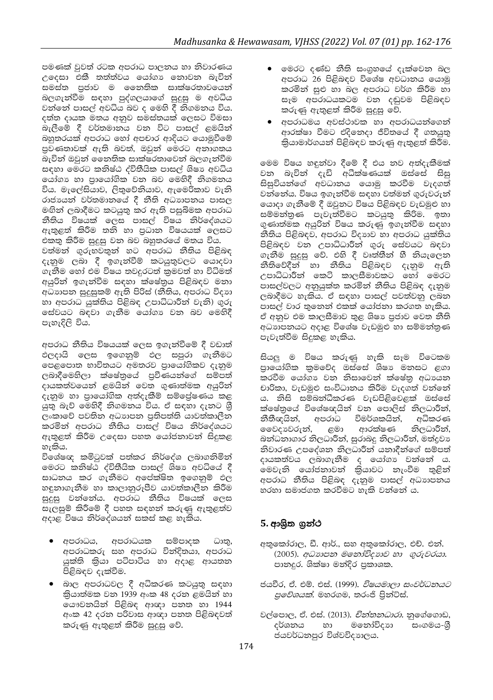පමණක් වුවත් රටක අපරාධ පාලනය හා නිවාරණය උදෙසා එකී තත්ත්වය යෝගා නොවන බැවින් සමස්ත පුජාව ම නෛතික සාක්ෂරතාවයෙන් බලගැන්වීම සඳහා පුද්ගලයාගේ සුදුසු ම අවධිය වන්නේ පාසල් අවධිය බව ද මෙහි දී නිගමනය විය. දත්ත දායක මතය අනුව සමස්තයක් ලෙසට විමසා බැලීමේ දී වර්තමානය වන විට පාසල් ළමයින් බහුතරයක් අපරාධ හෝ අපචාර ආදියට යොමුවීමේ පුවණතාවක් ඇති බවත්, ඔවුන් මෙරට අනාගතය බැවින් ඔවුන් නෛතික සාක්ෂරතාවෙන් බලගැන්වීම සඳහා මෙරට කනිෂ්ඨ ද්විතීයික පාසල් ශිෂා අවධිය යෝගා හා පායෝගික වන බව මෙහිදී නිගමනය විය. මැලේසියාව, ලිතුවේනියාව, ඇමෙරිකාව වැනි රාජායන් වර්තමානයේ දී නීති අධාාපනය පාසල මඟින් ලබාදීමට කටයුතු කර ඇති පසුබිමක අපරාධ නීතිය විෂයක් ලෙස පාසල් විෂය නිර්දේශයට ඇතුළත් කිරීම තනි හා පුධාන විෂයයක් ලෙසට එකතු කිරීම සුදුසු වන බව බහුතරයේ මතය විය.

වත්මන් ගුරුභවතුන් හට අපරාධ නීතිය පිළිබඳ දැනුම ලබා දී ඉගැන්වීම් කටයුතුවලට යොදවා ගැනීම හෝ එම විෂය තවදුරටත් කුමවත් හා විධිමත් අයුරින් ඉගැන්වීම සඳහා ක්ෂේතුය පිළිබඳව මනා අධාාපන සුදුසුකම් ඇති පිරිස් (නීතිය, අපරාධ විදාහ හා අපරාධ යුක්තිය පිළිබඳ උපාධිධාරීන් වැනි) ගුරු සේවයට බඳවා ගැනීම යෝගා වන බව මෙහිදී පැහැදිලි විය.

අපරාධ නීතිය විෂයයක් ලෙස ඉගැන්වීමේ දී වඩාත් ඵලදායි ලෙස ඉගෙනුම් ඵල සපුරා ගැනීමට පෙළපොත භාවිතයට අමතරව පායෝගිකව දැනුම ලබාදීමෙහිලා ක්ෂේතුයේ පුවීණයන්ගේ සම්පත් දායකත්වයෙන් ළමයින් වෙත ගුණාත්මක අයුරින් දැනුම හා පායෝගික අත්දැකීම් සම්පේෂණය කළ යුතු බැව් මෙහිදී තිගමනය විය. ඒ සඳහා දැනට ශී ලංකාවේ පවතින අධාහපන පුතිපත්ති යාවත්කාලීන කරමින් අපරාධ නීතිය පාසල් විෂය නිර්දේශයට ඇතුළත් කිරීම උදෙසා පහත යෝජනාවන් සිදුකළ හැකිය.

විශේෂඥ කමිටුවක් පත්කර නිර්දේශ ලබාගනිමින් මෙරට කනිෂ්ඨ ද්විතීයික පාසල් ශිෂා අවධියේ දී සාධනය කර ගැනීමට අපේක්ෂිත ඉගෙනුම් ඵල හඳුනාගැනීම හා කාලානුරූපීව යාවත්කාලීන කිරීම සුදුසු වන්නේය. අපරාධ නීතිය විෂයක් ලෙස සැලසුම් කිරීමේ දී පහත සඳහන් කරුණු ඇතුළත්ව අදාළ විෂය නිර්දේශයන් සකස් කළ හැකිය.

- අපරාධය, අපරාධයක සම්පාදක ධාතු, අපරාධකරු සහ අපරාධ වින්දිතයා, අපරාධ යුක්ති කියා පටිපාටිය හා අදාළ ආයතන පිළිබඳව දැක්වීම.
- බාල අපරාධවල දී අධිකරණ කටයුතු සඳහා කියාත්මක වන 1939 අංක 48 දරන ළමයින් හා යෞවනයින් පිළිබඳ ආඥා පනත හා 1944 අංක 42 දරන පරිවාස ආඥා පනත පිළිබඳවත් කරුණු ඇතුළත් කිරීම සුදුසු වේ.
- මෙරට දණ්ඩ නීති සංගුහයේ දැක්වෙන බල අපරාධ 26 පිළිබඳව විශේෂ අවධානය යොමු කරමින් සුළු හා බල අපරාධ වර්ග කිරීම හා සෑම අපරාධයකටම වන දඬුවම පිළිබඳව කරුණු ඇතුළත් කිරීම සුදුසු වේ.
- අපරාධමය අවස්ථාවක හා අපරාධයන්ගෙන් ආරක්ෂා වීමට එදිනෙදා ජීවිතයේ දී ගතයුතු කියාමාර්ගයන් පිළිබඳව කරුණු ඇතුළත් කිරීම.

මෙම විෂය හඳුන්වා දීමේ දී එය නව අත්දැකීමක් වන බැවින් දැඩි අධීක්ෂණයක් ඔස්සේ සිසු සිසුවියන්ගේ අවධානය යොමු කරවීම වැදගත් වන්නේය. විෂය ඉගැන්වීම සඳහා වත්මන් ගරුවරුන් යොදා ගැනීමේ දී ඔවුනට විෂය පිළිබඳව වැඩමුළු හා සම්මන්තුණ පැවැත්වීමට කටයුතු කිරිම. ඉතා ගුණාත්මක අයුරින් විෂය කරුණු ඉගැන්වීම සඳහා නීතිය පිළිබඳව, අපරාධ විදාහව හා අපරාධ යුක්තිය පිළිබඳව වන උපාධිධාරීන් ගුරු සේවයට බඳවා ගැනීම සුදුසු වේ. එහි දී වෘත්තීන් හී නියැලෙන නීතිවේදීන් හා නීතිය පළිබඳව දැනුම ඇති<br>උපාධිධාරීන් කෙටි කාලසීමාවකට හෝ මෙරට පාසල්වලට අනුයුක්ත කරමින් නීතිය පිළිබඳ දැනුම ලබාදීමට හැකිය. ඒ සඳහා පාසල් පවත්වනු ලබන පාසල් වාර තුතෙන් එකක් යෝජනා කරගත හැකිය. ඒ අනුව එම කාලසීමාව තුළ ශිෂා පුජාව වෙත නීති අධාහපනයට අදාළ විශේෂ වැඩමුළු හා සම්මන්තුණ පැවැත්වීම සිදුකළ හැකිය.

සියලු ම විෂය කරුණු හැකි සෑම විටෙකම පාධෝගික කුමවේද ඔස්සේ ශිෂා මනසට ළගා කරවීම යෝගා වන නිසාවෙන් ක්ෂේතු අධායන චාරිකා, වැඩමුළු සංවිධානය කිරීම වැදගත් වන්නේ ය. නිසි සම්බන්ධීකරණ වැඩපිළිවෙළක් ඔස්සේ ක්ෂේතයේ විශේෂඥයින් වන පොලිස් නිලධාරීන්, නීතීඥයින්, අපරාධ විමර්ශකයින්, අධිකරණ ආරක්ෂණ නිලධාරීන්, වෛදාාවරුන්, ළමා බන්ධනාගාර නිලධාරීන්, සුරාබදු නිලධාරීන්, මත්දුවා නිවාරණ උපදේශන නිලධාරීන් යනාදීන්ගේ සම්පත් දායකත්වය ලබාගැනීම ද යෝගා වන්නේ ය. මෙවැනි යෝජනාවන් කියාවට නැංවීම තුළින් අපරාධ නීතිය පිළිබඳ දැනුම පාසල් අධාහපනය හරහා සමාජගත කරවීමට හැකි වත්තේ ය.

## 5. ආශිත ගුන්ථ

- අතුකෝරාල, ඩී. ආර්., සහ අතුකෝරාල, එච්. එන්. (2005). අධාභපන මනෝවිදාහව හා ගුරුවරයා. පානදුර. ශික්ෂා මන්දිර පුකාශක.
- ජයවීර, ඒ. එම්. එස්. (1999). *විෂයමාලා සංවර්ධනයට පුවේශයක්.* මහරගම, තරංජි පිුත්ට්ස්.
- වල්පොල, ඒ. එස්. (2013). *චින්තනධාරා.* නුගේගොඩ, මනෝවිදාහ සංගමය-ශී දර්ශනය හා ජයවර්ධනපුර විශ්වවිදාහලය.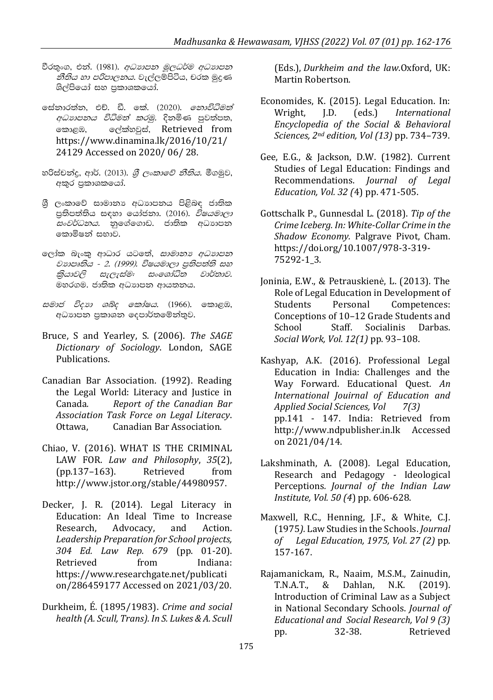- වීරතුංග, එන්. (1981). *අධාහපන මූලධර්ම අධාහපන නීතිය හා පරිපාලනය.* වැල්ලම්පිටිය, චරක මුදණ ශිල්පියෝ සහ පුකාශකයෝ.
- සේතාරත්ත, එච්. ඩී. කේ. (2020). *තොවිධිමත් අධාහපනය විධිමත් කරමු.* දිනමිණ පුවත්පත, කොළඹ, ලේක්හවුස්, Retrieved from https://www.dinamina.lk/2016/10/21/ 24129 Accessed on 2020/06/28.
- හරිස්චන්දු, ආර්. (2013). *ශී ලංකාවේ නීතිය.* මීගමුව, අකුර පුකාශකයෝ.
- ශී ලංකාවේ සාමානා අධාාපනය පිළිබඳ ජාතික පුතිපත්තිය සඳහා යෝජනා. (2016). *විෂයමාලා සංවර්ධනය.* නුගේගොඩ. ජාතික අධාහපන කොමිෂන් සභාව.
- ලෝක බැංකු ආධාර යටතේ, සාමානා අධාහපන වාහපෘතිය - 2. (1999). විෂයමාලා පුතිපත්ති සහ කියාවලි සැලැස්ම: සංශෝධිත වාර්තාව. මහරගම. ජාතික අධාහපන ආයතනය.
- සමාජ විදහ ශබ්ද කෝෂය. (1966). කොළඹ, අධාහපන පුකාශන දෙපාර්තමේන්තුව.
- Bruce, S and Yearley, S. (2006). The SAGE Dictionary of Sociology. London, SAGE Publications.
- Canadian Bar Association. (1992). Reading the Legal World: Literacy and Justice in Report of the Canadian Bar Canada. Association Task Force on Legal Literacy. Canadian Bar Association. Ottawa.
- Chiao, V. (2016). WHAT IS THE CRIMINAL LAW FOR. Law and Philosophy, 35(2),  $(pp.137-163)$ . Retrieved from http://www.jstor.org/stable/44980957.
- Decker, J. R. (2014). Legal Literacy in Education: An Ideal Time to Increase Research. Advocacy, and Action. Leadership Preparation for School projects, 304 Ed. Law Rep. 679 (pp. 01-20). Retrieved from Indiana: https://www.researchgate.net/publicati on/286459177 Accessed on 2021/03/20.
- Durkheim, É. (1895/1983). Crime and social health (A. Scull, Trans). In S. Lukes & A. Scull

(Eds.), Durkheim and the law.Oxford, UK: Martin Robertson

- Economides, K. (2015). Legal Education. In:  $I.D.$  $(\text{eds.})$ Wright, *International* Encyclopedia of the Social & Behavioral Sciences, 2nd edition, Vol (13) pp. 734-739.
- Gee, E.G., & Jackson, D.W. (1982). Current Studies of Legal Education: Findings and Recommendations. Journal of Legal Education, Vol. 32 (4) pp. 471-505.
- Gottschalk P., Gunnesdal L. (2018). Tip of the Crime Iceberg. In: White-Collar Crime in the Shadow Economy. Palgrave Pivot, Cham. https://doi.org/10.1007/978-3-319-75292-1\_3.
- Joninia, E.W., & Petrauskienė, L. (2013). The Role of Legal Education in Development of **Students** Personal Competences: Conceptions of 10-12 Grade Students and School Staff. Socialinis Darhas Social Work, Vol. 12(1) pp. 93-108.
- Kashyap, A.K. (2016). Professional Legal Education in India: Challenges and the Way Forward. Educational Quest. An International Jouirnal of Education and Applied Social Sciences, Vol  $7(3)$ pp.141 - 147. India: Retrieved from http://www.ndpublisher.in.lk Accessed on 2021/04/14.
- Lakshminath, A. (2008). Legal Education, Research and Pedagogy - Ideological Perceptions. Journal of the Indian Law Institute, Vol. 50 (4) pp. 606-628.
- Maxwell, R.C., Henning, J.F., & White, C.J. (1975). Law Studies in the Schools. Journal of Legal Education, 1975, Vol. 27 (2) pp. 157-167.
- Rajamanickam, R., Naaim, M.S.M., Zainudin, T.N.A.T., & Dahlan, N.K.  $(2019).$ Introduction of Criminal Law as a Subject in National Secondary Schools. Journal of Educational and Social Research, Vol 9 (3) 32-38. Retrieved pp.